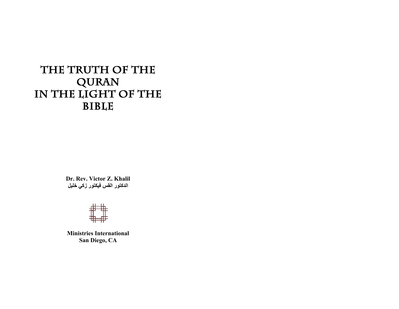# **The Truth of the QURAN**  IN THE LIGHT OF THE **BIBLE**

**Dr. Rev. Victor Z. Khalil** الدكتور الق*س* فيكتور زك*ی* خليل



**Ministries International San Diego, CA**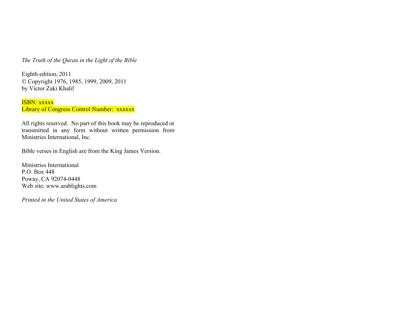*The Truth of the Quran in the Light of the Bible*

Eighth edition, 2011 Ó Copyright 1976, 1985, 1999, 2009, 2011 by Victor Zaki Khalil

ISBN: xxxxx Library of Congress Control Number: xxxxxx

All rights reserved. No part of this book may be reproduced or transmitted in any form without written permission from Ministries International, Inc.

Bible verses in English are from the King James Version.

Ministries International P.O. Box 448 Poway, CA 92074-0448 Web site: www.arablights.com

*Printed in the United States of America*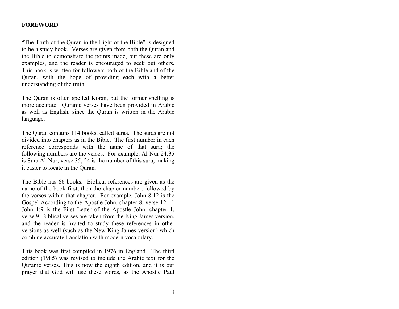"The Truth of the Quran in the Light of the Bible" is designed to be a study book. Verses are given from both the Quran and the Bible to demonstrate the points made, but these are only examples, and the reader is encouraged to seek out others. This book is written for followers both of the Bible and of the Quran, with the hope of providing each with a better understanding of the truth.

The Quran is often spelled Koran, but the former spelling is more accurate. Quranic verses have been provided in Arabic as well as English, since the Quran is written in the Arabic language.

The Quran contains 114 books, called suras. The suras are not divided into chapters as in the Bible. The first number in each reference corresponds with the name of that sura; the following numbers are the verses. For example, Al-Nur 24:35 is Sura Al-Nur, verse 35, 24 is the number of this sura, making it easier to locate in the Quran.

The Bible has 66 books. Biblical references are given as the name of the book first, then the chapter number, followed by the verses within that chapter. For example, John 8:12 is the Gospel According to the Apostle John, chapter 8, verse 12. 1 John 1:9 is the First Letter of the Apostle John, chapter 1, verse 9. Biblical verses are taken from the King James version, and the reader is invited to study these references in other versions as well (such as the New King James version) which combine accurate translation with modern vocabulary.

This book was first compiled in 1976 in England. The third edition (1985) was revised to include the Arabic text for the Quranic verses. This is now the eighth edition, and it is our prayer that God will use these words, as the Apostle Paul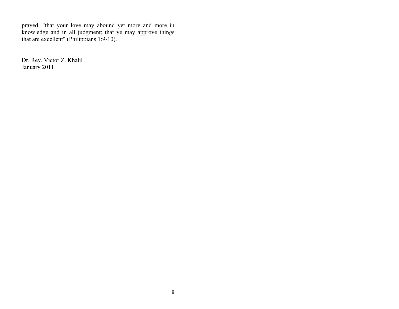prayed, "that your love may abound yet more and more in knowledge and in all judgment; that ye may approve things that are excellent" (Philippians 1:9-10).

Dr. Rev. Victor Z. Khalil January 2011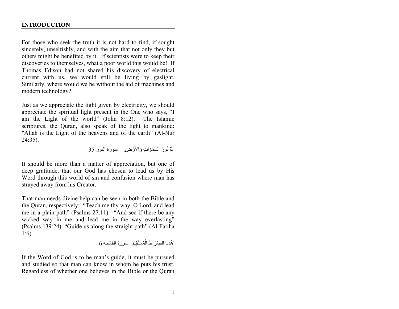#### **INTRODUCTION**

For those who seek the truth it is not hard to find, if sought sincerely, unselfishly, and with the aim that not only they but others might be benefited by it. If scientists were to keep their discoveries to themselves, what a poor world this would be! If Thomas Edison had not shared his discovery of electrical current with us, we would still be living by gaslight. Similarly, where would we be without the aid of machines and modern technology?

Just as we appreciate the light given by electricity, we should appreciate the spiritual light present in the One who says, "I am the Light of the world" (John 8:12). The Islamic scriptures, the Quran, also speak of the light to mankind: "Allah is the Light of the heavens and of the earth" (Al-Nur 24:35).

اللَّهُ نُورُ السَّمَوَاتِ وَالأَرْضِ. سورة النور 35

It should be more than a matter of appreciation, but one of deep gratitude, that our God has chosen to lead us by His Word through this world of sin and confusion where man has strayed away from his Creator.

That man needs divine help can be seen in both the Bible and the Quran, respectively: "Teach me thy way, O Lord, and lead me in a plain path" (Psalms 27:11). "And see if there be any wicked way in me and lead me in the way everlasting" (Psalms 139:24). "Guide us along the straight path" (Al-Fatiha 1:6).

اهْدِنَا الْصِّرَاطَ الْمُسْتَقِيمَ. سورة الفاتحة 6

If the Word of God is to be man's guide, it must be pursued and studied so that man can know in whom he puts his trust. Regardless of whether one believes in the Bible or the Quran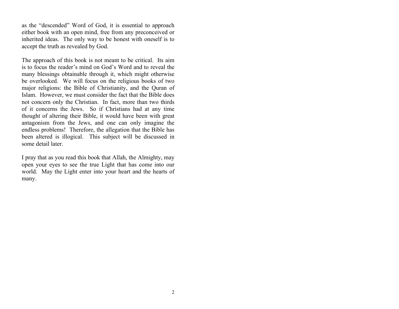as the "descended" Word of God, it is essential to approach either book with an open mind, free from any preconceived or inherited ideas. The only way to be honest with oneself is to accept the truth as revealed by God.

The approach of this book is not meant to be critical. Its aim is to focus the reader's mind on God's Word and to reveal the many blessings obtainable through it, which might otherwise be overlooked. We will focus on the religious books of two major religions: the Bible of Christianity, and the Quran of Islam. However, we must consider the fact that the Bible does not concern only the Christian. In fact, more than two thirds of it concerns the Jews. So if Christians had at any time thought of altering their Bible, it would have been with great antagonism from the Jews, and one can only imagine the endless problems! Therefore, the allegation that the Bible has been altered is illogical. This subject will be discussed in some detail later.

I pray that as you read this book that Allah, the Almighty, may open your eyes to see the true Light that has come into our world. May the Light enter into your heart and the hearts of many.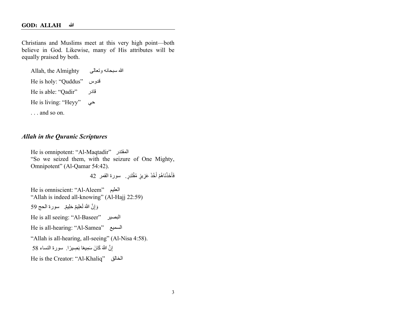Christians and Muslims meet at this very high point—both believe in God. Likewise, many of His attributes will be equally praised by both.

Allah, the Almighty الله سبحانه وتعالى He is holy: "Quddus" قدوس He is able: "Qadir"  $\qquad$ قادر He is living: "Heyy" يح . . . and so on.

## *Allah in the Quranic Scriptures*

He is omnipotent: "Al-Maqtadir" المغتدر "So we seized them, with the seizure of One Mighty, Omnipotent" (Al-Qamar 54:42). فَأَخَذْنَاهُمْ أَخْذَ عَزِيزٍ مُقْتَدِرٍ . سورة القمر 42 He is omniscient: "Al-Aleem" میلعلا "Allah is indeed all-knowing" (Al-Hajj 22:59) وَإِنَّ اللَّهَ لَعَلِيمٌ حَلِيمٌ. سورة الحج 59 He is all seeing: "Al-Baseer" ریصبلا He is all-hearing: "Al-Samea" عیمسلا "Allah is all-hearing, all-seeing" (Al-Nisa 4:58). إِنَّ اللَّهَ كَانَ سَمِيعًا بَصِيرًا. سورة النساء 58 He is the Creator: "Al-Khaliq" قلاخلا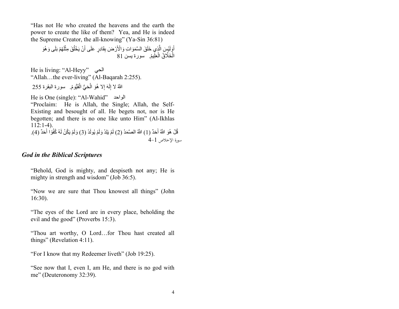"Has not He who created the heavens and the earth the power to create the like of them? Yea, and He is indeed the Supreme Creator, the all-knowing" (Ya-Sin 36:81)

أَوَلَيْسَ الَّذِي خَلَقَ السَّمَوَاتِ وَالْأَرْضَ بِقَادِرٍ عَلَى أَنْ يَخْلُقَ مِثْلَهُمْ بَلَى وَهُوَ<br>الْخَلَّاثُ الْعَلِيمُ. سورة يسن 81 ْ

He is living: "Al-Heyy"  $\qquad$ الحی "Allah…the ever-living" (Al-Baqarah 2:255).

اللَّهُ لا إِلَهَ إِلا هُوَ الْحَيُّ الْقَيُّومُ. سورة البقرة 255

He is One (single): "Al-Wahid" المواحد "Proclaim: He is Allah, the Single; Allah, the Self-Existing and besought of all. He begets not, nor is He begotten; and there is no one like unto Him" (Al-Ikhlas 112:1-4). قُلْ هُوَ اللَّهُ أَحَدٌ (1) اللَّهُ الصَّمَدُ (2) لَمْ يَلِدْ وَلَمْ يُولَدْ (3) وَلَمْ يَكُنْ لَهُ كُفُوًا أَحَدٌ (4).  $4-1$ صورة الإخلاص  $-1$ 

## *God in the Biblical Scriptures*

"Behold, God is mighty, and despiseth not any; He is mighty in strength and wisdom" (Job 36:5).

"Now we are sure that Thou knowest all things" (John 16:30).

"The eyes of the Lord are in every place, beholding the evil and the good" (Proverbs 15:3).

"Thou art worthy, O Lord…for Thou hast created all things" (Revelation 4:11).

"For I know that my Redeemer liveth" (Job 19:25).

"See now that I, even I, am He, and there is no god with me" (Deuteronomy 32:39).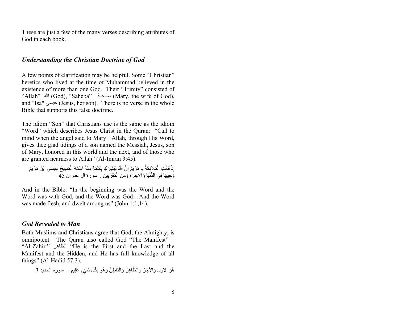These are just a few of the many verses describing attributes of God in each book.

## *Understanding the Christian Doctrine of God*

A few points of clarification may be helpful. Some "Christian" heretics who lived at the time of Muhammad believed in the existence of more than one God. Their "Trinity" consisted of "Allah" الله) God), "Saheba" ةبحاص) Mary, the wife of God), and "Isa" ىسیع) Jesus, her son). There is no verse in the whole Bible that supports this false doctrine.

The idiom "Son" that Christians use is the same as the idiom "Word" which describes Jesus Christ in the Quran: "Call to mind when the angel said to Mary: Allah, through His Word, gives thee glad tidings of a son named the Messiah, Jesus, son of Mary, honored in this world and the next, and of those who are granted nearness to Allah" (Al-Imran 3:45).

إِذْ قَالَتِ الْمَلائِكَةُ يَا مَرْيَمُ إِنَّ اللَّهَ يُبَثَّبِّرُ كِ بِكَلِمَةٍ مِنْهُ اسْمُهُ الْمَسِيحُ عِيسَى ابْنُ مَرْيَمَ<br>وَجِيهًا فِي الدُّنْيَا وَالأَخِرَةِ وَمِنَ الْمُقَرَّبِين . سورة آل عمران 45 يهًا فِي الدُّنْيَا وَالأَخِرَةِٰ وَمِنَ الْمُقَرَّبِين َ. سورة آل عمران 45

And in the Bible: "In the beginning was the Word and the Word was with God, and the Word was God…And the Word was made flesh, and dwelt among us" (John 1:1,14).

#### *God Revealed to Man*

Both Muslims and Christians agree that God, the Almighty, is omnipotent. The Quran also called God "The Manifest"— "Al-Zahir." المظاهر "He is the First and the Last and the Manifest and the Hidden, and He has full knowledge of all things" (Al-Hadid 57:3).

هُوَ الاول وَالأَخِرُ وَالظَّاهِرُ وَالْبَاطِنُ وَهُوَ بِكُلِّ شَيْءٍ عَلِيم . ۚ سورة الحديد 3 ْ َ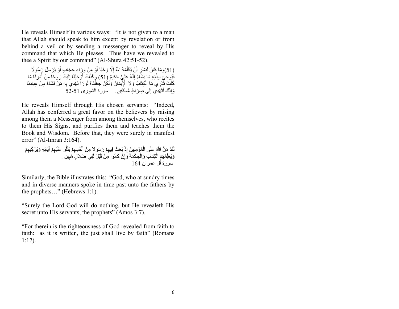He reveals Himself in various ways: "It is not given to a man that Allah should speak to him except by revelation or from behind a veil or by sending a messenger to reveal by His command that which He pleases. Thus have we revealed to thee a Spirit by our command" (Al-Shura 42:51-52).

(51)وَمَا كَانَ لِبَشَرٍ أَنْ يُكَلِّمَهُ اللَّهُ إِلَّا وَحْيًا أَوْ مِنْ وَرَِاءِ حِجَابٍ أَوْ يُرْسِلَ رِّسُولًا ًُو ِحي َی ذِإِب َ ف َ َشاء َ ِن ِھ م ْ إ ُ ا ی َّھُ َعِلي ِ َل َك ِیٌم (51) و ٌّ َحك ن لِ ْنَا إ ْ َحی َو ِ َك أ َذ ا َ ْمِرنَا م َ ْ أ ْی َك ُرو ًحا ِمن َ كُنْتَ تَّذِرِّي مَا الْكِتَابُ وَلَا الْإِيمَانُ وَلَكِنْ جَعَلْنَاهُ نُورًا نَهْدِي بِهِ مَنْ نَشَاءُ مِنْ عِبَادِنَا وَإِنَّكَ لَتَهْدِي إِلَى صِرَاطٍ مُسْتَقِيمٍ . سورة الشورى 51-52

He reveals Himself through His chosen servants: "Indeed, Allah has conferred a great favor on the believers by raising among them a Messenger from among themselves, who recites to them His Signs, and purifies them and teaches them the Book and Wisdom. Before that, they were surely in manifest error" (Al-Imran 3:164).

لَقَدْ مَنَّ اللَّهُ عَلَى الْمُؤْمِنِينَ إِذْ بَعَثَ فِيهِمْ رَسُو لِا مِنْ أَنْفُسِهِمْ يَتْلُو عَلَيْهِمْ آيَاتِهِ وَيُزَكِّيهِ لَقَدْ مَنَّ اللَّهُ عَلَى الْمُؤْمِنِينَ إِذْ بَعَثَ فِيهِمْ رَسُو لا مِنْ أَنْفُسِهِمْ يَتَلُّو عَلَيْهِمْ آيَاتِهِ وَيُزَكِّيهِمْ<br>وَيُعَلِّمُهُمُ الْكِتَابَ وَالْحِكْمَةَ وَإِنْ كَانُوا مِنْ قَبْلُ لَفِي ضَلالٍ مُبِين سور ة آل عمر ان 164

Similarly, the Bible illustrates this: "God, who at sundry times and in diverse manners spoke in time past unto the fathers by the prophets…" (Hebrews 1:1).

"Surely the Lord God will do nothing, but He revealeth His secret unto His servants, the prophets" (Amos 3:7).

"For therein is the righteousness of God revealed from faith to faith: as it is written, the just shall live by faith" (Romans 1:17).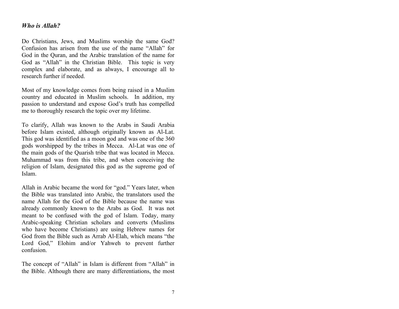## *Who is Allah?*

Do Christians, Jews, and Muslims worship the same God? Confusion has arisen from the use of the name "Allah" for God in the Quran, and the Arabic translation of the name for God as "Allah" in the Christian Bible. This topic is very complex and elaborate, and as always, I encourage all to research further if needed.

Most of my knowledge comes from being raised in a Muslim country and educated in Muslim schools. In addition, my passion to understand and expose God's truth has compelled me to thoroughly research the topic over my lifetime.

To clarify, Allah was known to the Arabs in Saudi Arabia before Islam existed, although originally known as Al-Lat. This god was identified as a moon god and was one of the 360 gods worshipped by the tribes in Mecca. Al-Lat was one of the main gods of the Quarish tribe that was located in Mecca. Muhammad was from this tribe, and when conceiving the religion of Islam, designated this god as the supreme god of Islam.

Allah in Arabic became the word for "god." Years later, when the Bible was translated into Arabic, the translators used the name Allah for the God of the Bible because the name was already commonly known to the Arabs as God. It was not meant to be confused with the god of Islam. Today, many Arabic-speaking Christian scholars and converts (Muslims who have become Christians) are using Hebrew names for God from the Bible such as Arrab Al-Elah, which means "the Lord God," Elohim and/or Yahweh to prevent further confusion.

The concept of "Allah" in Islam is different from "Allah" in the Bible. Although there are many differentiations, the most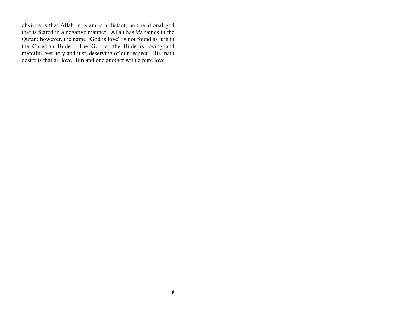obvious is that Allah in Islam is a distant, non-relational god that is feared in a negative manner. Allah has 99 names in the Quran; however, the name "God is love" is not found as it is in the Christian Bible. The God of the Bible is loving and merciful, yet holy and just, deserving of our respect. His main desire is that all love Him and one another with a pure love.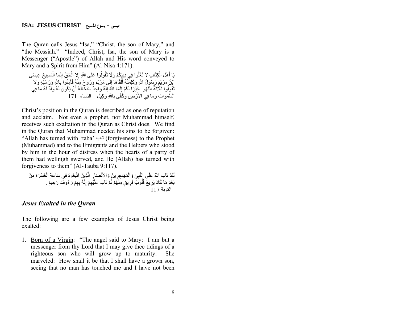The Quran calls Jesus "Isa," "Christ, the son of Mary," and "the Messiah." "Indeed, Christ, Isa, the son of Mary is a Messenger ("Apostle") of Allah and His word conveyed to Mary and a Spirit from Him" (Al-Nisa 4:171).

يَا أَهْلَ الْكِتَابِ لا تَغْلُوا فِي دِيِنِكُمْ وَلَا تَقُولُوا عَلَى اللَّهِ إِلا الْحَقَّ إِنَّمَا الْمَسِيحُ عِيسَى ابْنُ مَرْيَعَ رَسُولُ اللَّهِ وَكَلِمَتُهُ أَلْقَاهَا إِلَى مَرْيَمَ وَرُوحٌ مِنْهُ فَأَمِنُوا بِاللَّهِ وَ َابْنُ مَرْيَمَ رَسُولُ اللَّهِ وَكَلِمَتُهُ أَلْقَاهَا إِلَٰى مَرْيَمَ وَرُوحٌ مِنْهُ فَآمِنُوا بِاللَّهِ وَرُسُلِهِ وَلا<br>تَقُولُوا ثَلاثَةٌ انْتَهُوا خَيْرًا لَكُمْ إِنَّمَا اللَّهُ إِلَهٌ وَاحِدٌ سُبْحَانَهُ أَنْ يَكُون ٌالسَّمَوَاتِ وَمَا فِي الأَرْضِ وَكَفَى بِاللَّهِ وَكِيل . النساء 171

Christ's position in the Quran is described as one of reputation and acclaim. Not even a prophet, nor Muhammad himself, receives such exaltation in the Quran as Christ does. We find in the Quran that Muhammad needed his sins to be forgiven: "Allah has turned with 'taba' بات) forgiveness) to the Prophet (Muhammad) and to the Emigrants and the Helpers who stood by him in the hour of distress when the hearts of a party of them had wellnigh swerved, and He (Allah) has turned with forgiveness to them" (Al-Tauba 9:117).

لَقَدْ تَابَ اللَّهُ عَلَى النَّبِيِّ وَالْمُهَاجِرِينَ وَالأَنْصَارِ الَّذِينَ اتَّبَعُوهُ فِي سَاعَةِ الْعُسْرَةِ مِنْ بَعْدِ مَا كَادَ يَزِيغُ قُلُوبٌ فَرِيقٍ مِنْهُمْ ثُمَّ تَابَ عَلَيْهِمْ إِنَّهُ بِهِمْ رَ مُوفٌ رَحِيمٌ . التونة 117

#### *Jesus Exalted in the Quran*

The following are a few examples of Jesus Christ being exalted:

1. Born of a Virgin: "The angel said to Mary: I am but a messenger from thy Lord that I may give thee tidings of a righteous son who will grow up to maturity. She marveled: How shall it be that I shall have a grown son, seeing that no man has touched me and I have not been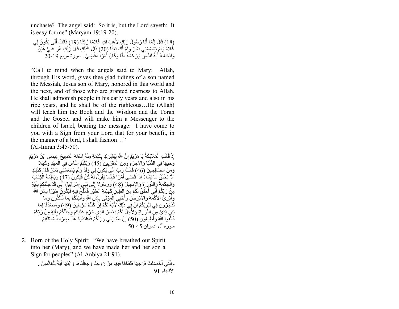unchaste? The angel said: So it is, but the Lord sayeth: It is easy for me" (Maryam 19:19-20).

(18) قَالَ إِنَّمَا أَنَا رَسُولُ رَبِّكٍ لأَهَبَ لَكِ غُلامًا زَكِيًّا (19) قَالَتْ أَنَّى يَكُونُ لِي غُلامٌ وَلَمْ يَمْسَسْنِي بَشَرٌ وَلَمْ أَكُ بَغِيًّا (20) قَالَ كَذَلِكِ قَالَ رَبُّكِ هُوَ عَلَيَّ هَبِّنٌ ٌوَلِنَجْعَلَهُ أَيَةً لِلنَّاسِ وَرَحْمَةً مِنَّا وَكَانَ أَمْرًا مَقْضِيٍّ . سورة مريم 19-20

"Call to mind when the angels said to Mary: Allah, through His word, gives thee glad tidings of a son named the Messiah, Jesus son of Mary, honored in this world and the next, and of those who are granted nearness to Allah. He shall admonish people in his early years and also in his ripe years, and he shall be of the righteous…He (Allah) will teach him the Book and the Wisdom and the Torah and the Gospel and will make him a Messenger to the children of Israel, bearing the message: I have come to you with a Sign from your Lord that for your benefit, in the manner of a bird, I shall fashion…" (Al-Imran 3:45-50).

إِذْ قَالَتِ الْمَلائِكَةُ يَا مَرْيَمُ إِنَّ اللَّهَ يُبَشِّرُكِ بِكَلِمَةٍ مِنْهُ اسْمُهُ الْمَسِيحُ عِيسَى ابْنُ مَرْيَمَ َّاذٍ قَالَتِ الْمَلائِكَةُ يَا مَرْيَمُ إِنَّ اللَّهَ يُبَشِّرُ كِ بِكَلِمَةٍ مِنْهُ اسْمُهُ الْمَسِيحُ عِيسَى ابْنُ مَرْيَمَ<br>وَجِيهًا فِي الدُّنْيَا وَالأَخِرَةِ وَمِنَ الْمُقَرَّبِينَ (45) وَيُكَلِّمُ النَّاسَ فِي الْم وَمِنَ الصِّالِحِينَ (46) قَالَتْ رَِبِّ أَنَّي يَكُونُ لِي وَلَدٌ وَلَمْ يَمْسَسْنِي بَشَرٌ ۚ قَالَ كَذَلِكِ اللَّهُ يَخْلُقُ مَا يَشَاءُ إِذَا فَضَى أَمْرًا فَإِنَّمَا يَقُولُ لَهُ كُنْ فَيَكُونُ (47) وَيُعَلِّمُهُ الْكِتَابَ وَالْحِكْمَةَ وَالتَّوْرَاةَ وَالإِنْجِيلَ (48) وَرَسُولا إِلَى بَنِي إِسْرَائِيلَ أَنِّي قَدْ جِئْنُكُمْ بِآيَةٍ مِنْ رَبِّكُمْ أَنِّي أَخْلُقُ لَكُمْ مِنَ إِللَٰظِّينِ كَهَيْئَةِ الطَّيْرِ فَأَنْفُخُ فِهِهِ فَيَكُونُ طَيْرًا بِإِنْنِ اَللَّهِ وَ أُبْرِئُ الْأَكْمَّةَ وَالأَبْرَصِٰ وَأُحْيِي الْمَوْتَى بِإِذْنَ اللَّهِ وَأَنْتِئْكُمْ بِمَا تَأْكُلُونَ وَمَا تَدَّذِرُونَ فِي بُيُوِتِكُمْ إِنَّ فِي ذَلِكَ ۚ لأَيَةً لَكُمْ إِنّْ كُُنْتُمْ مُؤْمِنِينَ (49) وَمُصَدِّقًا لِمَا بَيْنَ يَدَيَّ مِنَّ التَّوْرَ اٰةِ وَ لأُجِّلَّ لَكُمْ بَعْضَ الَّذِي حُرِّجَ عَلَيْكُمْ وَجِئْتُكُمْ بِإِيَةٍ مِنْ رَبِّكُمْ فَاتَّقُوا اللَّهَ وَأَطِيعُونِ (50) إِنَّ اللَّهَ رَبِّي وَرَبُّكُمْ فَاعْبُدُوهُ هَٰذَا صِرَاطٌ مُسْتَقِيمٌ .  $50-45$  سورة آل عمر ان

2. Born of the Holy Spirit: "We have breathed our Spirit into her (Mary), and we have made her and her son a Sign for peoples" (Al-Anbiya 21:91).

> وَالَّذِي أَحْصَنَتْ فَرْجَهَا فَنَفَخْنَا فِيهَا مِنْ رُوحِنَا وَجَعَلْنَاهَا وَابْنَهَا أَيَةً لِلْعَالَمِينَ . الأنبياء 91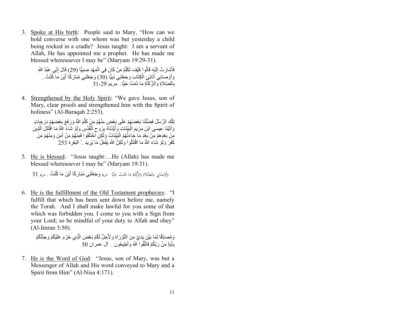3. Spoke at His birth: People said to Mary, "How can we hold converse with one whom was but yesterday a child being rocked in a cradle? Jesus taught: I am a servant of Allah, He has appointed me a prophet. He has made me blessed wheresoever I may be" (Maryam 19:29-31).

> فَأَشِّارَتْ إِلَيْهِ قَالُو إِ كَيْفَ نُكَلِّمُ مَنْ كَانَ فِي الْمَهْدِ صِبَيًِّا (29) قَالَ إِنِّي عَبْدُ اللَّهِ وَأَوْصِنانِي آَتَانِيَ الْكِتَابَ وَجَعَلَنِي نَبِيًّا (30) وَجَعَلَنِي مُبَارَكًا أَيْنَ مَا كُنْتُ .  $1$ الصَّلاة وَ الزَّ كَاة مَا دُمْتُ حَبًّا. مر بم 29-31

4. Strengthened by the Holy Spirit: "We gave Jesus, son of Mary, clear proofs and strengthened him with the Spirit of holiness" (Al-Baraqah 2:253).

تِلْكَ الرُّسُلُ فَضَلَّنَا بَعْضَهُمْ عَلَى بَعْضٍ مِنْهُمْ مَنْ كَلَّمَ اللَّهُ وَرَفَعَ بَعْضَهُمْ دَرَجَاتٍ<br>تِأْسِ وَأَتَيْنَا عِيسَى ابْنَ مَرْيَمَ الْبَيِّنَاتِ وَأَيَّدْنَاهُ بِرُوحِ الْفُدُسِ وَلَوْ شَاءَ اللَّهُ مَا اقْتَتَلَ الَّذِينَ **ٔ** مِنْ بَعْدِهِمْ مِنْ بَعْدِ مَا جَاءَتْهُمُ الْبَيِّنَاتُ وَلَكِن آَخْتَلَفُوا فَمِنْهُمْ مَنْ آَمَنَ وَمِنْهُمْ مَنْ كَفَرَ وَلَوْ شَاءَ اللَّهُ مَا اقْتَتَلُّوا وَلَكِنَّ اللَّهَ يَفْعَلُ مَا يُرِيد . ُ البقرة 253

5. He is blessed: "Jesus taught:…He (Allah) has made me blessed wheresoever I may be" (Maryam 19:31).

֖֖֖֖֖֧֚֚֚֚֚֚֚֚֚֚֝֝֝֝֝֝֟֓֝֬֝֓֝֬֝֓֝֬֝֟֓֝֬֝֓֝֬֝֓֬֝֓֟֓֬֝֓֬֝֓֬֝֓֝֬֝֓֬֝֬֝֓֬֝֓֬֝֓֬֝֓<del>֧</del><br>֧֪֪֪֪֪֪֪֪֪֪֪֪֚֚֝֟֝֝֟֝֟֝ وَأَوْصَانِي بِالصَّلاةِ وَالزَّكاةِ مَا دُمْتُ حَيًّا ۖ مريم **وَجَعَلَنِي مُبَارَكًا أَيْنَ مَا كُنْتُ . م**ريم 31 َ ي

6. He is the fulfillment of the Old Testament prophecies: "I fulfill that which has been sent down before me, namely the Torah. And I shall make lawful for you some of that which was forbidden you. I come to you with a Sign from your Lord; so be mindful of your duty to Allah and obey" (Al-Imran 3:50).

> وَمُصَدِّقًا لِمَا بَيْنَ بَدَيَّ مِنَ اِلتَّوْرَاةِ وَلأُجِلَّ لَكُمْ بَعْضَ الَّذِي حُرِّمَ عَلَيْكُمْ وَجِئْتُكُمْ بِأَيَةٍ مِنْ رَبِّكُمْ فَاتَّقُوا ۚاللَّهَ وَأَطِيعُون . ۚ آل عمران 50

7. He is the Word of God: "Jesus, son of Mary, was but a Messenger of Allah and His word conveyed to Mary and a Spirit from Him" (Al-Nisa 4:171).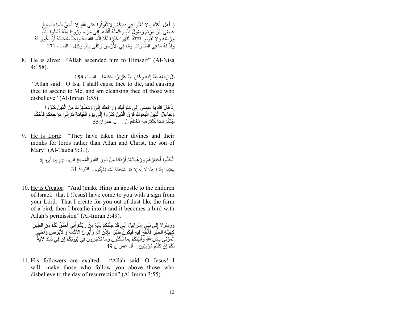يَا أَهْلَ الْكِتَابِ لا تَغْلُوا فِي دِينِكُمْ وَلا تَقُولُوا عَلَى اللَّهِ إِلا الْحَقَّ إِنَّمَا الْمَسِيحُ عِيسَى ابْنُ مَرْيَمَ رَسُولُ اللَّهِ وَكَلِمَتُهُ أَلْقَاهَا إِلَى مَرْيَمَ وَرُوحٌ مِنْهُ فَأَمِنُوا بِاللَّهِ َوَرُسُلِهِ وَلا تَقُولُوا ثَلاثَةٌ انْتَهُوا خَيْرٍا لَكُمْ إِنَّمَا اللَّهُ إِلَٰهٌ وَاحِدٌ سُبْحَانَهُ أَنْ يَكُونَ لَهُ ٌوَلَدٌ لَهُ مَا فِي السَّمَوَاتِ وَمَا فِي الأَرْضِ وَكَفَى بِاللَّهِ وَكِيل . النساء 171

8. He is alive: "Allah ascended him to Himself" (Al-Nisa 4:158).

بَلْ رَفَعَهُ اللَّهُ إِلَيْهِ وَكَانَ اللَّهُ عَزِيزًا حَكِيمًا . النساء 158 "Allah said: O Isa, I shall cause thee to die, and causing thee to ascend to Me, and am cleansing thee of those who disbelieve" (Al-Imran 3:55).

إِذْ قَالَ اللَّهُ يَا عِيسَى إِنِّي مُتَوَفِّيكَ وَرَ افِعُكَ إِلَيَّ وَمُطَهِّرُكَ مِنَ الَّذِينَ كَفَرُوا وََجَاعِلُ الَّذِينَ اتَّبَعُوكَ فََوْقَ الَّذِينَ كَفَرُوا إِلَى يَوْمِ الْقِيَامَةِ ثُمَّ إِلَيَّ مَرْجِعُكُمْ فَأَحْكُمُ<br>بَيْنَكُمْ فِيمَا كُنْتُمْ فِيهِ تَخْتَلِفُونَ . آل عمر ان55 بَيْنَكُمْ فِيمَا كُنْتُمْ فِيهِ تَخْتَلِفُونَ . آل عمر ان55

9. He is Lord: "They have taken their divines and their monks for lords rather than Allah and Christ, the son of Mary" (Al-Tauba 9:31).

> انَّخَذُوا أَحْبَارَ هُمْ وَرُ هْبَانَهُمْ أَرْبَابًا مِنْ دُونِ اللَّهِ وَالْمَسِيجَ ابْنِيَ مَرْيَمَ وَمَا أُمِرُوا إِلا َ  $\overline{\phantom{a}}$ ل ِ يَعْبُدُوا إِلَهًا وَاحِدًا لا إِلَهَ إِلا هُوَ سُبْحَانَهُ عَمَّا يُشْرِكُون . ا**لْتوبـة 31**  $\ddot{\phantom{0}}$ ْ ب ب

10. He is Creator: "And (make Him) an apostle to the children of Israel: that I (Jesus) have come to you with a sign from your Lord. That I create for you out of dust like the form of a bird, then I breathe into it and it becomes a bird with Allah's permission" (Al-Imran 3:49).

وَرَسُو لا إِلَى بَنِي إِسْرَ ائِيلَ أَنِّي قَدْ جِئْتُكُمْ بِآَيَةٍ مِنْ رَبِّكُمْ أَنِّي أَخْلُقُ لَكُمْ مِنَ الطِّينِ<br>كَهَيْئَةِ الطَّيْرِ فَأَنْفُحُ فِيهِ فَيَكُونُ طَيْرًا بِإِنْنِ اللَّهِ وَأَبْرِ ئُ الأَكْمَهَ وَال لَكُمْ إِنْ كُنْتُمْ مُؤْمِنِينَ . آل عمر ان 49

11. His followers are exalted: "Allah said: O Jesus! I will…make those who follow you above those who disbelieve to the day of resurrection" (Al-Imran 3:55).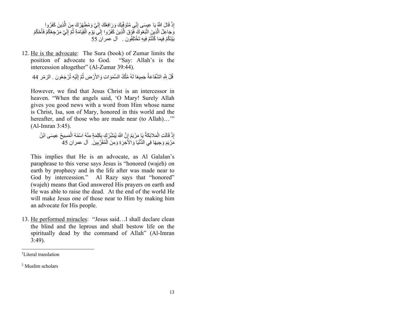إِذْ قَالَ اللَّهُ يَا عِيسَى إِنِّي مُثَوَفِّيكَ وَرَافِعُكَ إِلَيَّ وَمُطَهِّرُكَ مِنَ الَّذِينَ كَفَرُوا وََجَاعِلُ الَّذِينَ اتَّبَعُوكَ فََوْقَ الَّذِينَ كَفَرُوا إِلَى يَوْمِ الْقِيَامَةِ ثُمَّ إِلَيَّ مَرْجِعُكُمْ فَأَحْكُمُ<br>بَيْنَكُمْ فِيمَا كُنْتُمْ فِيهِ تَخْتَلِفُون . آل عمر ان 55 بَيْنَكُمْ فِيمَا كُنْتُمْ فِيهِ تَخْتَلِفُون . آل عمر ان 55

12. He is the advocate: The Sura (book) of Zumar limits the position of advocate to God. "Say: Allah's is the intercession altogether" (Al-Zumar 39:44).

قُلْ لِلَّهِ الشَّفَاعَةُ جَمِيعًا لَهُ مُلْكُ السَّمَوَاتِ وَالأَرْضِ ثُمَّ إِلَيْهِ تُرْجَعُون . الزمّر 44 لِ

However, we find that Jesus Christ is an intercessor in heaven. "When the angels said, 'O Mary! Surely Allah gives you good news with a word from Him whose name is Christ, Isa, son of Mary, honored in this world and the hereafter, and of those who are made near (to Allah)..." (Al-Imran 3:45).

إِذْ قَالَتِ الْمَلائِكَةُ يَـْ مَرْيَمُ إِنَّ اللَّهَ يُبَشِّرُ لِّهِ بِكَلِمَةٍ مِنْهُ اسْمُهُ الْمَسِيحُ عِيسَى ابْنُ مَّرْيَمَ وَجِيهًا فِي الدُّنْيَا وَالْأَخِرَةِ وَمِنَ الْمُقَرَّبِينَٰ. ۖ آل عمران 45

This implies that He is an advocate, as Al Galalan's paraphrase to this verse says Jesus is "honored (wajeh) on earth by prophecy and in the life after was made near to God by intercession." Al Razy says that "honored" (wajeh) means that God answered His prayers on earth and He was able to raise the dead. At the end of the world He will make Jesus one of those near to Him by making him an advocate for His people.

13. He performed miracles: "Jesus said…I shall declare clean the blind and the leprous and shall bestow life on the spiritually dead by the command of Allah" (Al-Imran 3:49).

<sup>1</sup> Literal translation

<sup>2</sup> Muslim scholars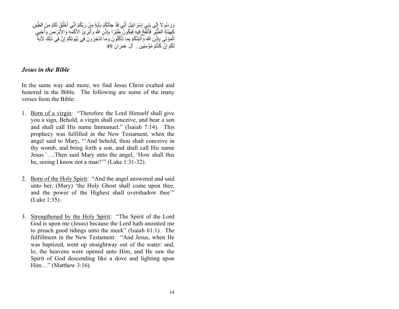وَرَسُو لا إِلَى بَنِي إِسْرَائِيلَ أَنِّي قَدْ جِئْتُكُمْ بِآَيَةٍ مِنْ رَبِّكُمْ أَنِّي أَخْلُقُ لَكُمْ مِنَ الطِّينِ<br>كَهَيْئَةِ الطَّيْرِ فَأَنْفُحُ فِيهِ فَيَكُونُ طَيِّرًا بِإِنْنِ اللَّهِ وَأَبْرِ ئُ الأَكْمَهَ وَال لَكُمْ إِنْ كُنْتُمْ مُؤْمِنِين . آل عمر ان 49

## *Jesus in the Bible*

In the same way and more, we find Jesus Christ exalted and honored in the Bible. The following are some of the many verses from the Bible:

- 1. Born of a virgin: "Therefore the Lord Himself shall give you a sign, Behold, a virgin shall conceive, and bear a son and shall call His name Immanuel." (Isaiah 7:14). This prophecy was fulfilled in the New Testament, when the angel said to Mary, "'And behold, thou shalt conceive in thy womb, and bring forth a son, and shall call His name Jesus.'….Then said Mary unto the angel, 'How shall this be, seeing I know not a man?'" (Luke 1:31-32).
- 2. Born of the Holy Spirit: "And the angel answered and said unto her, (Mary) 'the Holy Ghost shall come upon thee, and the power of the Highest shall overshadow thee'" (Luke 1:35).
- 3. Strengthened by the Holy Spirit: "The Spirit of the Lord God is upon me (Jesus) because the Lord hath anointed me to preach good tidings unto the meek" (Isaiah 61:1). The fulfillment in the New Testament: "And Jesus, when He was baptized, went up straightway out of the water: and, lo, the heavens were opened unto Him, and He saw the Spirit of God descending like a dove and lighting upon Him…" (Matthew 3:16).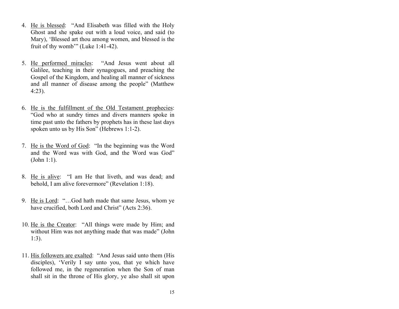- 4. He is blessed: "And Elisabeth was filled with the Holy Ghost and she spake out with a loud voice, and said (to Mary), 'Blessed art thou among women, and blessed is the fruit of thy womb'" (Luke 1:41-42).
- 5. He performed miracles: "And Jesus went about all Galilee, teaching in their synagogues, and preaching the Gospel of the Kingdom, and healing all manner of sickness and all manner of disease among the people" (Matthew 4:23).
- 6. He is the fulfillment of the Old Testament prophecies: "God who at sundry times and divers manners spoke in time past unto the fathers by prophets has in these last days spoken unto us by His Son" (Hebrews 1:1-2).
- 7. He is the Word of God: "In the beginning was the Word and the Word was with God, and the Word was God" (John 1:1).
- 8. He is alive: "I am He that liveth, and was dead; and behold, I am alive forevermore" (Revelation 1:18).
- 9. He is Lord: "…God hath made that same Jesus, whom ye have crucified, both Lord and Christ" (Acts 2:36).
- 10. He is the Creator: "All things were made by Him; and without Him was not anything made that was made" (John 1:3).
- 11. His followers are exalted: "And Jesus said unto them (His disciples), 'Verily I say unto you, that ye which have followed me, in the regeneration when the Son of man shall sit in the throne of His glory, ye also shall sit upon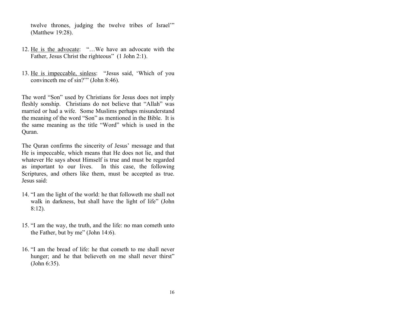twelve thrones, judging the twelve tribes of Israel'" (Matthew 19:28).

- 12. He is the advocate: "…We have an advocate with the Father, Jesus Christ the righteous" (1 John 2:1).
- 13. He is impeccable, sinless: "Jesus said, 'Which of you convinceth me of sin?'" (John 8:46).

The word "Son" used by Christians for Jesus does not imply fleshly sonship. Christians do not believe that "Allah" was married or had a wife. Some Muslims perhaps misunderstand the meaning of the word "Son" as mentioned in the Bible. It is the same meaning as the title "Word" which is used in the Quran.

The Quran confirms the sincerity of Jesus' message and that He is impeccable, which means that He does not lie, and that whatever He says about Himself is true and must be regarded as important to our lives. In this case, the following Scriptures, and others like them, must be accepted as true. Jesus said:

- 14. "I am the light of the world: he that followeth me shall not walk in darkness, but shall have the light of life" (John 8:12).
- 15. "I am the way, the truth, and the life: no man cometh unto the Father, but by me" (John 14:6).
- 16. "I am the bread of life: he that cometh to me shall never hunger; and he that believeth on me shall never thirst" (John 6:35).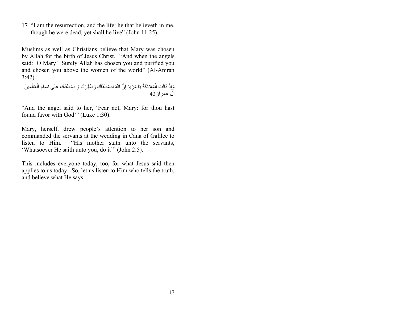17. "I am the resurrection, and the life: he that believeth in me, though he were dead, yet shall he live" (John 11:25).

Muslims as well as Christians believe that Mary was chosen by Allah for the birth of Jesus Christ. "And when the angels said: O Mary! Surely Allah has chosen you and purified you and chosen you above the women of the world" (Al-Amran 3:42).

وَ إِذْ قَالَتِ الْمَلائِكَةُ يَا مَرْيَمُ إِنَّ اللَّهَ اصْطَفَاكِ وَطَهَّرَكِ وَاصْطَفَاكِ عَلَى نِسَاءِ الْعَالَمِينَ آل عمر ان42

"And the angel said to her, 'Fear not, Mary: for thou hast found favor with God'" (Luke 1:30).

Mary, herself, drew people's attention to her son and commanded the servants at the wedding in Cana of Galilee to listen to Him. "His mother saith unto the servants, 'Whatsoever He saith unto you, do it'" (John 2:5).

This includes everyone today, too, for what Jesus said then applies to us today. So, let us listen to Him who tells the truth, and believe what He says.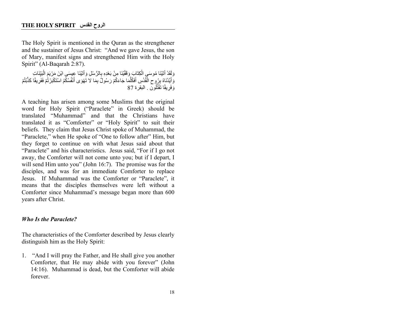The Holy Spirit is mentioned in the Quran as the strengthener and the sustainer of Jesus Christ: "And we gave Jesus, the son of Mary, manifest signs and strengthened Him with the Holy Spirit" (Al-Baqarah 2:87).

وَلَقَدْ أَتَيْنَا مُوسَى الْكِنَّابَ وَقَقَيْنَا مِنْ بَعْدِهِ بِالرُّسُلِ وَأَتَيْنَا عِيسَى ابْنَ مَرْيَمَ الْبَيِّنَاتِ وَ أَيَّدْنَاهُ بِرُوحِ الْقُدُسِ أَفَكَّلَمَا جَاءَكُمْ رَسُولُّ بِمَا لاَ تَهْوَى أَنْفُسُكُمُ اسْتَكْبَرْنُمْ فَفَرِيقًا كَذَّبْتُمْ وَفَرِيقًا تَقْتُلُونَ . البقرة 87

A teaching has arisen among some Muslims that the original word for Holy Spirit ("Paraclete" in Greek) should be translated "Muhammad" and that the Christians have translated it as "Comforter" or "Holy Spirit" to suit their beliefs. They claim that Jesus Christ spoke of Muhammad, the "Paraclete," when He spoke of "One to follow after" Him, but they forget to continue on with what Jesus said about that "Paraclete" and his characteristics. Jesus said, "For if I go not away, the Comforter will not come unto you; but if I depart, I will send Him unto you" (John 16:7). The promise was for the disciples, and was for an immediate Comforter to replace Jesus. If Muhammad was the Comforter or "Paraclete", it means that the disciples themselves were left without a Comforter since Muhammad's message began more than 600 years after Christ.

#### *Who Is the Paraclete?*

The characteristics of the Comforter described by Jesus clearly distinguish him as the Holy Spirit:

1. "And I will pray the Father, and He shall give you another Comforter, that He may abide with you forever" (John 14:16). Muhammad is dead, but the Comforter will abide forever.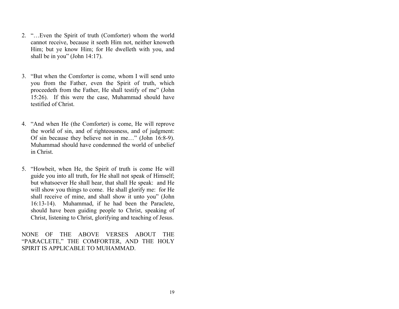- 2. "…Even the Spirit of truth (Comforter) whom the world cannot receive, because it seeth Him not, neither knoweth Him; but ye know Him; for He dwelleth with you, and shall be in you" (John 14:17).
- 3. "But when the Comforter is come, whom I will send unto you from the Father, even the Spirit of truth, which proceedeth from the Father, He shall testify of me" (John 15:26). If this were the case, Muhammad should have testified of Christ.
- 4. "And when He (the Comforter) is come, He will reprove the world of sin, and of righteousness, and of judgment: Of sin because they believe not in me…" (John 16:8-9). Muhammad should have condemned the world of unbelief in Christ.
- 5. "Howbeit, when He, the Spirit of truth is come He will guide you into all truth, for He shall not speak of Himself; but whatsoever He shall hear, that shall He speak: and He will show you things to come. He shall glorify me: for He shall receive of mine, and shall show it unto you" (John 16:13-14). Muhammad, if he had been the Paraclete, should have been guiding people to Christ, speaking of Christ, listening to Christ, glorifying and teaching of Jesus.

NONE OF THE ABOVE VERSES ABOUT THE "PARACLETE," THE COMFORTER, AND THE HOLY SPIRIT IS APPLICABLE TO MUHAMMAD.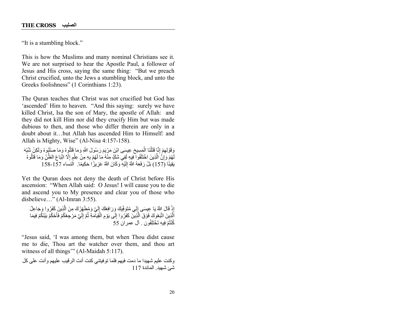"It is a stumbling block."

This is how the Muslims and many nominal Christians see it. We are not surprised to hear the Apostle Paul, a follower of Jesus and His cross, saying the same thing: "But we preach Christ crucified, unto the Jews a stumbling block, and unto the Greeks foolishness" (1 Corinthians 1:23).

The Quran teaches that Christ was not crucified but God has 'ascended' Him to heaven. "And this saying: surely we have killed Christ, Isa the son of Mary, the apostle of Allah: and they did not kill Him nor did they crucify Him but was made dubious to then, and those who differ therein are only in a doubt about it…but Allah has ascended Him to Himself: and Allah is Mighty, Wise" (Al-Nisa 4:157-158).

وَقَوْلِهِمْ إِنَّا قَتَلْنَا الْمَسِيحَ عِيسَى ابْنَ مَرْيَمَ رَسُولَ اللَّهِ وَمَا قَتَلُوهُ وَمَا صَلَهُوهُ وَلَكِنْ شُبِّهَ لَهُمْ وَإِنَّ الَّذِينَ اخْتَلَفُوا فِيهِ لَفِي شَكِّ مِنْهُ مَا لَهُمْ بِهِ مِنْ عِلْمٍ إِلّا اتِّبَاعَ الظَّنّ وَمَا قَتَلُوهُ يَقِينًا (157) بَلْ رَفَعَهُ اللَّهُ إِلَيْهِ وَكَانَ اللَّهُ عَزِيزًا حَكِيمًا. النساء 157-158

Yet the Quran does not deny the death of Christ before His ascension: "When Allah said: O Jesus! I will cause you to die and ascend you to My presence and clear you of those who disbelieve…" (Al-Imran 3:55).

إِذْ قَالَ إِللَّهُ يَا عِيسَى إِنِّي مُنَوَفِّيكَ وَرَافِعُكَ إِلَيَّ وَمُطَهِّرُكَ مِنَ الَّذِينَ كَفَرُوا وَجَاعِلُ اَلَّذِينَ اتَّبَعُوكَ فَوْقَ الَّذِينَ كَفَرُوا إِلَى يَوْمِ الْقِيَاْمَةِ ثُمَّ إِلَيَّ مَرْجِعُكُمْ فَأَحْكُمُ بَيْنَكُمْ فِيمَا كُنْتُمْ فِيهِ تَخْتَلِفُون . آل عمر ان 55

"Jesus said, 'I was among them, but when Thou didst cause me to die, Thou art the watcher over them, and thou art witness of all things" (Al-Maidah 5:117).

وكنت عليم شهيدا ما دمت فيهم فلما توفيتني كنت أنت الرقيب عليهم وأنت على كل شہ: شعید المائدۃ 117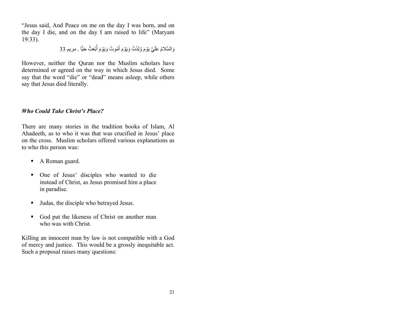"Jesus said, And Peace on me on the day I was born, and on the day I die, and on the day I am raised to life" (Maryam 19:33).

وَالسَّلامُ عَلَيَّ يَوْمَ وُلِدْتُ وَيَوْمَ أَمُوتُ وَيَوْمَ أُبْعَثُ حَيًّا . مريم 33

However, neither the Quran nor the Muslim scholars have determined or agreed on the way in which Jesus died. Some say that the word "die" or "dead" means asleep, while others say that Jesus died literally.

#### *Who Could Take Christ's Place?*

There are many stories in the tradition books of Islam, Al Ahadeeth, as to who it was that was crucified in Jesus' place on the cross. Muslim scholars offered various explanations as to who this person was:

- A Roman guard.
- § One of Jesus' disciples who wanted to die instead of Christ, as Jesus promised him a place in paradise.
- Judas, the disciple who betrayed Jesus.
- God put the likeness of Christ on another man who was with Christ.

Killing an innocent man by law is not compatible with a God of mercy and justice. This would be a grossly inequitable act. Such a proposal raises many questions: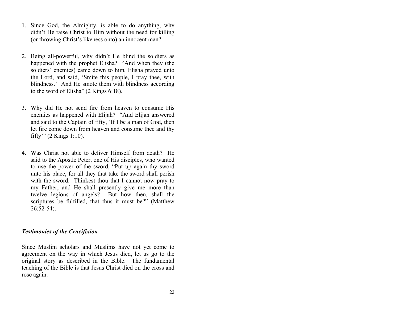- 1. Since God, the Almighty, is able to do anything, why didn't He raise Christ to Him without the need for killing (or throwing Christ's likeness onto) an innocent man?
- 2. Being all-powerful, why didn't He blind the soldiers as happened with the prophet Elisha? "And when they (the soldiers' enemies) came down to him, Elisha prayed unto the Lord, and said, 'Smite this people, I pray thee, with blindness.' And He smote them with blindness according to the word of Elisha" (2 Kings 6:18).
- 3. Why did He not send fire from heaven to consume His enemies as happened with Elijah? "And Elijah answered and said to the Captain of fifty, 'If I be a man of God, then let fire come down from heaven and consume thee and thy fifty'" (2 Kings 1:10).
- 4. Was Christ not able to deliver Himself from death? He said to the Apostle Peter, one of His disciples, who wanted to use the power of the sword, "Put up again thy sword unto his place, for all they that take the sword shall perish with the sword. Thinkest thou that I cannot now pray to my Father, and He shall presently give me more than twelve legions of angels? But how then, shall the scriptures be fulfilled, that thus it must be?" (Matthew 26:52-54).

#### *Testimonies of the Crucifixion*

Since Muslim scholars and Muslims have not yet come to agreement on the way in which Jesus died, let us go to the original story as described in the Bible. The fundamental teaching of the Bible is that Jesus Christ died on the cross and rose again.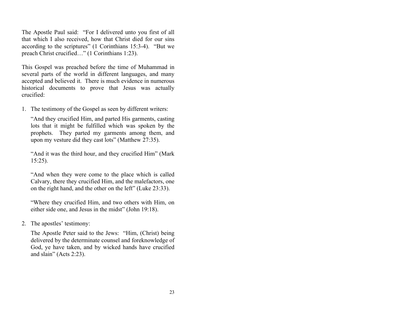The Apostle Paul said: "For I delivered unto you first of all that which I also received, how that Christ died for our sins according to the scriptures" (1 Corinthians 15:3-4). "But we preach Christ crucified…" (1 Corinthians 1:23).

This Gospel was preached before the time of Muhammad in several parts of the world in different languages, and many accepted and believed it. There is much evidence in numerous historical documents to prove that Jesus was actually crucified:

1. The testimony of the Gospel as seen by different writers:

"And they crucified Him, and parted His garments, casting lots that it might be fulfilled which was spoken by the prophets. They parted my garments among them, and upon my vesture did they cast lots" (Matthew 27:35).

"And it was the third hour, and they crucified Him" (Mark 15:25).

"And when they were come to the place which is called Calvary, there they crucified Him, and the malefactors, one on the right hand, and the other on the left" (Luke 23:33).

"Where they crucified Him, and two others with Him, on either side one, and Jesus in the midst" (John 19:18).

2. The apostles' testimony:

The Apostle Peter said to the Jews: "Him, (Christ) being delivered by the determinate counsel and foreknowledge of God, ye have taken, and by wicked hands have crucified and slain" (Acts 2:23).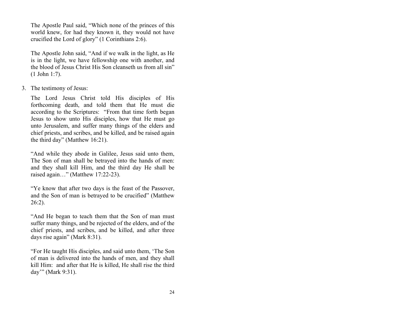The Apostle Paul said, "Which none of the princes of this world knew, for had they known it, they would not have crucified the Lord of glory" (1 Corinthians 2:6).

The Apostle John said, "And if we walk in the light, as He is in the light, we have fellowship one with another, and the blood of Jesus Christ His Son cleanseth us from all sin" (1 John 1:7).

3. The testimony of Jesus:

The Lord Jesus Christ told His disciples of His forthcoming death, and told them that He must die according to the Scriptures: "From that time forth began Jesus to show unto His disciples, how that He must go unto Jerusalem, and suffer many things of the elders and chief priests, and scribes, and be killed, and be raised again the third day" (Matthew 16:21).

"And while they abode in Galilee, Jesus said unto them, The Son of man shall be betrayed into the hands of men: and they shall kill Him, and the third day He shall be raised again…" (Matthew 17:22-23).

"Ye know that after two days is the feast of the Passover, and the Son of man is betrayed to be crucified" (Matthew 26:2).

"And He began to teach them that the Son of man must suffer many things, and be rejected of the elders, and of the chief priests, and scribes, and be killed, and after three days rise again" (Mark 8:31).

"For He taught His disciples, and said unto them, 'The Son of man is delivered into the hands of men, and they shall kill Him: and after that He is killed, He shall rise the third day'" (Mark 9:31).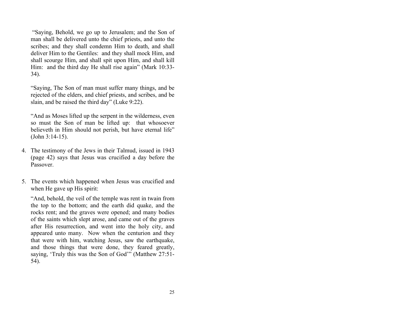"Saying, Behold, we go up to Jerusalem; and the Son of man shall be delivered unto the chief priests, and unto the scribes; and they shall condemn Him to death, and shall deliver Him to the Gentiles: and they shall mock Him, and shall scourge Him, and shall spit upon Him, and shall kill Him: and the third day He shall rise again" (Mark 10:33- 34).

"Saying, The Son of man must suffer many things, and be rejected of the elders, and chief priests, and scribes, and be slain, and be raised the third day" (Luke 9:22).

"And as Moses lifted up the serpent in the wilderness, even so must the Son of man be lifted up: that whosoever believeth in Him should not perish, but have eternal life" (John 3:14-15).

- 4. The testimony of the Jews in their Talmud, issued in 1943 (page 42) says that Jesus was crucified a day before the Passover.
- 5. The events which happened when Jesus was crucified and when He gave up His spirit:

"And, behold, the veil of the temple was rent in twain from the top to the bottom; and the earth did quake, and the rocks rent; and the graves were opened; and many bodies of the saints which slept arose, and came out of the graves after His resurrection, and went into the holy city, and appeared unto many. Now when the centurion and they that were with him, watching Jesus, saw the earthquake, and those things that were done, they feared greatly, saying, 'Truly this was the Son of God'" (Matthew 27:51- 54).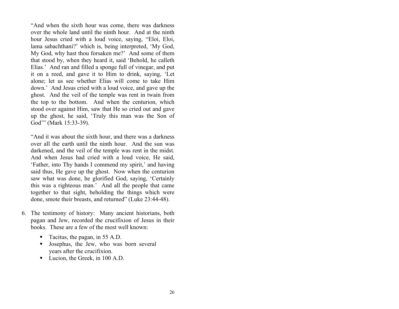"And when the sixth hour was come, there was darkness over the whole land until the ninth hour. And at the ninth hour Jesus cried with a loud voice, saying, "Eloi, Eloi, lama sabachthani?' which is, being interpreted, 'My God, My God, why hast thou forsaken me?' And some of them that stood by, when they heard it, said 'Behold, he calleth Elias.' And ran and filled a sponge full of vinegar, and put it on a reed, and gave it to Him to drink, saying, 'Let alone; let us see whether Elias will come to take Him down.' And Jesus cried with a loud voice, and gave up the ghost. And the veil of the temple was rent in twain from the top to the bottom. And when the centurion, which stood over against Him, saw that He so cried out and gave up the ghost, he said, 'Truly this man was the Son of God'" (Mark 15:33-39).

"And it was about the sixth hour, and there was a darkness over all the earth until the ninth hour. And the sun was darkened, and the veil of the temple was rent in the midst. And when Jesus had cried with a loud voice, He said, 'Father, into Thy hands I commend my spirit,' and having said thus, He gave up the ghost. Now when the centurion saw what was done, he glorified God, saying, 'Certainly this was a righteous man.' And all the people that came together to that sight, beholding the things which were done, smote their breasts, and returned" (Luke 23:44-48).

- 6. The testimony of history: Many ancient historians, both pagan and Jew, recorded the crucifixion of Jesus in their books. These are a few of the most well known:
	- Tacitus, the pagan, in 55 A.D.
	- § Josephus, the Jew, who was born several years after the crucifixion.
	- Lucion, the Greek, in 100 A.D.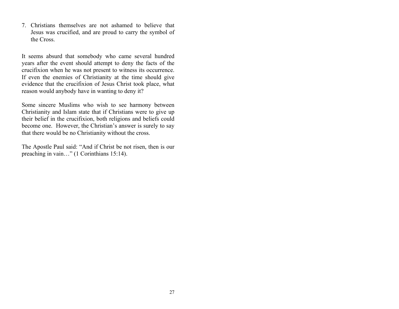7. Christians themselves are not ashamed to believe that Jesus was crucified, and are proud to carry the symbol of the Cross.

It seems absurd that somebody who came several hundred years after the event should attempt to deny the facts of the crucifixion when he was not present to witness its occurrence. If even the enemies of Christianity at the time should give evidence that the crucifixion of Jesus Christ took place, what reason would anybody have in wanting to deny it?

Some sincere Muslims who wish to see harmony between Christianity and Islam state that if Christians were to give up their belief in the crucifixion, both religions and beliefs could become one. However, the Christian's answer is surely to say that there would be no Christianity without the cross.

The Apostle Paul said: "And if Christ be not risen, then is our preaching in vain…" (1 Corinthians 15:14).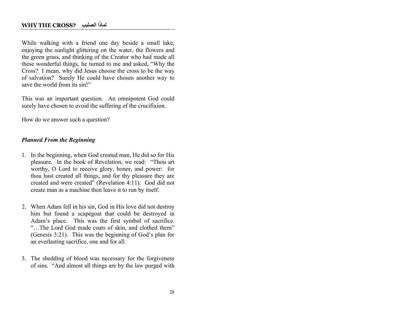While walking with a friend one day beside a small lake, enjoying the sunlight glittering on the water, the flowers and the green grass, and thinking of the Creator who had made all these wonderful things, he turned to me and asked, "Why the Cross? I mean, why did Jesus choose the cross to be the way of salvation? Surely He could have chosen another way to save the world from its sin!"

This was an important question. An omnipotent God could surely have chosen to avoid the suffering of the crucifixion.

How do we answer such a question?

#### *Planned From the Beginning*

- 1. In the beginning, when God created man, He did so for His pleasure. In the book of Revelation, we read: "Thou art worthy, O Lord to receive glory, honor, and power: for thou hast created all things, and for thy pleasure they are created and were created" (Revelation 4:11). God did not create man as a machine then leave it to run by itself.
- 2. When Adam fell in his sin, God in His love did not destroy him but found a scapegoat that could be destroyed in Adam's place. This was the first symbol of sacrifice. "…The Lord God made coats of skin, and clothed them" (Genesis 3:21). This was the beginning of God's plan for an everlasting sacrifice, one and for all.
- 3. The shedding of blood was necessary for the forgiveness of sins. "And almost all things are by the law purged with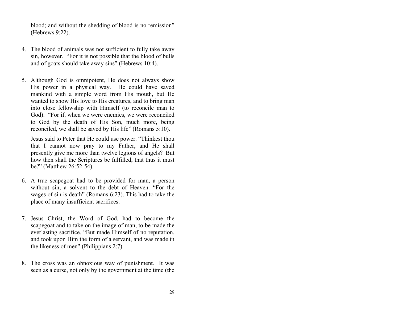blood; and without the shedding of blood is no remission" (Hebrews 9:22).

- 4. The blood of animals was not sufficient to fully take away sin, however. "For it is not possible that the blood of bulls and of goats should take away sins" (Hebrews 10:4).
- 5. Although God is omnipotent, He does not always show His power in a physical way. He could have saved mankind with a simple word from His mouth, but He wanted to show His love to His creatures, and to bring man into close fellowship with Himself (to reconcile man to God). "For if, when we were enemies, we were reconciled to God by the death of His Son, much more, being reconciled, we shall be saved by His life" (Romans 5:10).

Jesus said to Peter that He could use power. "Thinkest thou that I cannot now pray to my Father, and He shall presently give me more than twelve legions of angels? But how then shall the Scriptures be fulfilled, that thus it must be?" (Matthew 26:52-54).

- 6. A true scapegoat had to be provided for man, a person without sin, a solvent to the debt of Heaven. "For the wages of sin is death" (Romans 6:23). This had to take the place of many insufficient sacrifices.
- 7. Jesus Christ, the Word of God, had to become the scapegoat and to take on the image of man, to be made the everlasting sacrifice. "But made Himself of no reputation, and took upon Him the form of a servant, and was made in the likeness of men" (Philippians 2:7).
- 8. The cross was an obnoxious way of punishment. It was seen as a curse, not only by the government at the time (the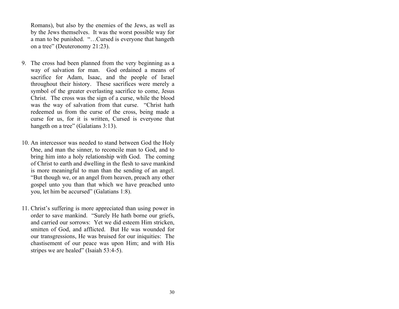Romans), but also by the enemies of the Jews, as well as by the Jews themselves. It was the worst possible way for a man to be punished. "…Cursed is everyone that hangeth on a tree" (Deuteronomy 21:23).

- 9. The cross had been planned from the very beginning as a way of salvation for man. God ordained a means of sacrifice for Adam, Isaac, and the people of Israel throughout their history. These sacrifices were merely a symbol of the greater everlasting sacrifice to come, Jesus Christ. The cross was the sign of a curse, while the blood was the way of salvation from that curse. "Christ hath redeemed us from the curse of the cross, being made a curse for us, for it is written, Cursed is everyone that hangeth on a tree" (Galatians 3:13).
- 10. An intercessor was needed to stand between God the Holy One, and man the sinner, to reconcile man to God, and to bring him into a holy relationship with God. The coming of Christ to earth and dwelling in the flesh to save mankind is more meaningful to man than the sending of an angel. "But though we, or an angel from heaven, preach any other gospel unto you than that which we have preached unto you, let him be accursed" (Galatians 1:8).
- 11. Christ's suffering is more appreciated than using power in order to save mankind. "Surely He hath borne our griefs, and carried our sorrows: Yet we did esteem Him stricken, smitten of God, and afflicted. But He was wounded for our transgressions, He was bruised for our iniquities: The chastisement of our peace was upon Him; and with His stripes we are healed" (Isaiah 53:4-5).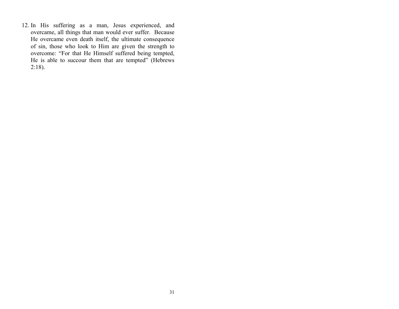12. In His suffering as a man, Jesus experienced, and overcame, all things that man would ever suffer. Because He overcame even death itself, the ultimate consequence of sin, those who look to Him are given the strength to overcome: "For that He Himself suffered being tempted, He is able to succour them that are tempted" (Hebrews 2:18).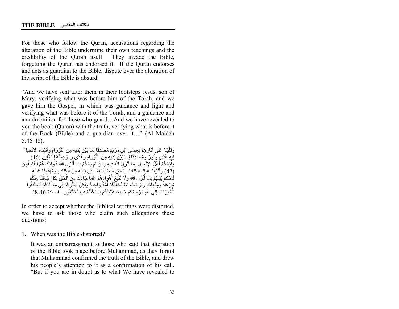For those who follow the Quran, accusations regarding the alteration of the Bible undermine their own teachings and the credibility of the Quran itself. They invade the Bible, forgetting the Quran has endorsed it. If the Quran endorses and acts as guardian to the Bible, dispute over the alteration of the script of the Bible is absurd.

"And we have sent after them in their footsteps Jesus, son of Mary, verifying what was before him of the Torah, and we gave him the Gospel, in which was guidance and light and verifying what was before it of the Torah, and a guidance and an admonition for those who guard…And we have revealed to you the book (Quran) with the truth, verifying what is before it of the Book (Bible) and a guardian over it…" (Al Maidah 5:46-48).

وَقَّقَيْنَا عَلَى أَثَارِ هِمْ بِعِيسٍي ابْنِ مَرْيَمَ مُصَدِّقًا لِمَا بَيْنَ يَدَيْهِ مِنَ التَّوْرِ إِةٍ وَأَتَيْنَاهُ الإِنْجِيلَ َّ فِيهِ هُدًى وَنُورٌ ۚ وَمُصَدِّقًا لِّمِا بَيْنَ يَدَيْهِ مِنَ التَّوْرَاةِ وَهُدًى وَمَوْعِظَةً لِلْمُتَّقِينَ (46) َّ ًوَلْيَحْكُمْ أَهْلُ الْإِنْجِيلِ بِمَا أَنْزَلَ اللَّهُ فِيهِ وَمَنْ لَمْ يَحْكُمْ بِمَا أَنْزَلَ اللَّهُ فَأُولَئِكَ هُمُ الْفَاسِقُونَ ْ (47) وَأَنْزَلْنَا إِلَيْكَ الْكِتَابَ بِالْحَقِّ مُصِدِّقًا لِمَا بَيْنَ يَدَيْهِ مِنَ الْكِتَابِ وَمُهَيْمِنًا عَلَيْهِ فَاحْكُمْ بَيْنَهُمْ بِمَا أَنْزِلَ اللَّهُ وَلَا تِتَّبِّعُ أَهْوَاءَهُمْ عَمَّا جَاءَكَ مِنَ الْحَقِّ لِكُلِّ جَعَلْنَا مِنْكُمْ شِرْ عَةً وَمِنْهَاجًا وَلَوْ شَاءَ اللَّهُ لَجَعَلَكُمْ أُمَّةً وَاٰحِدَةً وَلَكِنْ لِبَيْلُوَكُمْ فِي مَا أَتَاكُمْ فَاسْتَبِقُوا الْخَيْرَ اتِ إِلَى اللَّهِ مَرْ جِعُكُمْ جَمِيعًا فَيُنْتِِئُكُمْ بِمَا كُنْتُمْ فِيهِ تَخْتَلِفُونَ ۖ . المائدة 46-48

In order to accept whether the Biblical writings were distorted, we have to ask those who claim such allegations these questions:

1. When was the Bible distorted?

It was an embarrassment to those who said that alteration of the Bible took place before Muhammad, as they forgot that Muhammad confirmed the truth of the Bible, and drew his people's attention to it as a confirmation of his call. "But if you are in doubt as to what We have revealed to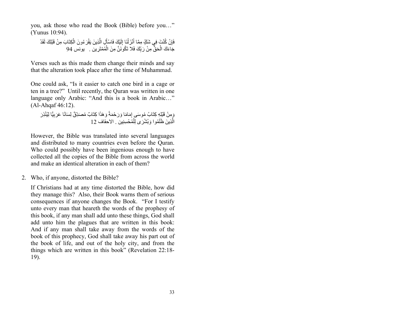you, ask those who read the Book (Bible) before you…" (Yunus 10:94).

فَإِنْ كُنْتَ فِي شَكِّ مِمَّا أَنْزَلْنَا إِلَيْكَ فَاسْأَلِ الَّذِينَ يَقْرَ مُونَ الْكِتَابَ مِنْ قَبْلِكَ لَقَدْ جَاءَكَ الْحَقُّ مِنْ رَبِّكَ فَلا تَكُونَنَّ مِنَ الْمُمْتَرِين . يونس 94

Verses such as this made them change their minds and say that the alteration took place after the time of Muhammad.

One could ask, "Is it easier to catch one bird in a cage or ten in a tree?" Until recently, the Quran was written in one language only Arabic: "And this is a book in Arabic…" (Al-Ahqaf 46:12).

وَمِنْ قَبْلِهِ كِتَابُ مُوسَى إِمَامًا وَرَحْمَةً وَهَذَا كِتَابٌ مُصَدِّقٌ لِسَانًا عَرَبِيًّا لِيُنْذِرَ الَّذِينَ ظَلَمُوا وَيُشْرَى لِلْمُحْسِنِين . الاحقاف 12

However, the Bible was translated into several languages and distributed to many countries even before the Quran. Who could possibly have been ingenious enough to have collected all the copies of the Bible from across the world and make an identical alteration in each of them?

2. Who, if anyone, distorted the Bible?

If Christians had at any time distorted the Bible, how did they manage this? Also, their Book warns them of serious consequences if anyone changes the Book. "For I testify unto every man that heareth the words of the prophesy of this book, if any man shall add unto these things, God shall add unto him the plagues that are written in this book: And if any man shall take away from the words of the book of this prophecy, God shall take away his part out of the book of life, and out of the holy city, and from the things which are written in this book" (Revelation 22:18- 19).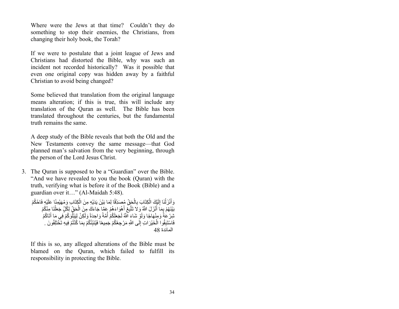Where were the Jews at that time? Couldn't they do something to stop their enemies, the Christians, from changing their holy book, the Torah?

If we were to postulate that a joint league of Jews and Christians had distorted the Bible, why was such an incident not recorded historically? Was it possible that even one original copy was hidden away by a faithful Christian to avoid being changed?

Some believed that translation from the original language means alteration; if this is true, this will include any translation of the Quran as well. The Bible has been translated throughout the centuries, but the fundamental truth remains the same.

A deep study of the Bible reveals that both the Old and the New Testaments convey the same message—that God planned man's salvation from the very beginning, through the person of the Lord Jesus Christ.

3. The Quran is supposed to be a "Guardian" over the Bible. "And we have revealed to you the book (Quran) with the truth, verifying what is before it of the Book (Bible) and a guardian over it…" (Al-Maidah 5:48).

وَأَنْزَلْنَا إِلَيْكَ الْكِتَابَ بِالْحَقِّ مُصَدِّقًا لِمَا بَيْنَ يَدَيْهِ مِنَ الْكِتَابِ وَمُهَيْمِنًا عَلَيْهِ فَاحْكُمْ بَيْنَهُمْ بِمَا أَنْزَلَ اللَّهُ وَلَا تَتَّبِعُ أَهْوَاءَهُمْ عَمَّا جَاءَكَ مِنَ الْحَقِّ لِكُلِّ جَعَلْنَا مِنْكُمْ شِرْ عَٰةً وَمِنْهَاجًا وَلَوْ شَاءَ اللَّهُ لَجَعَلَكُمْ أُمَّةً وَاحِدَةً وَلَكِنْ لِبَيْلُوَكُمْ فِي مَا آَتَاكُمْ فَاسْتَبِقُوا الْخَيْرَ اتِ إِلَى اللَّهِ مَرْ جِعُكُمْ جَمِيعًا فَيُنَبِّئُكُمْ بِمَا كُنْتُمْ فِيهِ تَخْتَلِفُونَ . المائدة 48

If this is so, any alleged alterations of the Bible must be blamed on the Quran, which failed to fulfill its responsibility in protecting the Bible.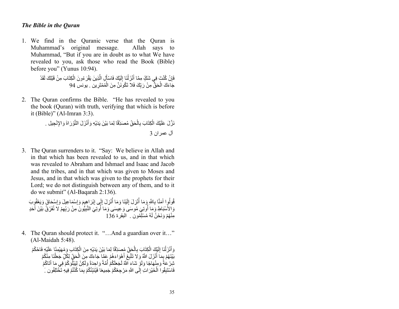#### *The Bible in the Quran*

1. We find in the Quranic verse that the Quran is Muhammad's original message. Allah says to Muhammad, "But if you are in doubt as to what We have revealed to you, ask those who read the Book (Bible) before you" (Yunus 10:94).

> فَإِنْ كُنْتَ فِي شَكِّ مِمَّا أَنْزَلْنَا إِلَيْكَ فَاسْأَلِ الَّذِينَ يَقْرَ مُونَ الْكِتَابَ مِنْ قَبْلِكَ لَقَدْ جَاءَكَ الْحَقُّ مِنْ رَبِّكَ فَلا تَكُونَنَّ مِنَ الْمُمْتَرِين . يونس 94

2. The Quran confirms the Bible. "He has revealed to you the book (Quran) with truth, verifying that which is before it (Bible)" (Al-Imran 3:3).

> نَزَّلَ عَلَيْكَ الْكِتَابَ بِالْحَقِّ مُصَدِّقًا لِمَا بَيْنَ يَدَيْهِ وَأَنْزَلَ النَّوْرَاةَ وَالإِنْجِيلِ . آل عمر ان 3

3. The Quran surrenders to it. "Say: We believe in Allah and in that which has been revealed to us, and in that which was revealed to Abraham and Ishmael and Isaac and Jacob and the tribes, and in that which was given to Moses and Jesus, and in that which was given to the prophets for their Lord; we do not distinguish between any of them, and to it do we submit" (Al-Baqarah 2:136).

قُولُوٍا آَمَنَّا بِاللَّهِ وَمَا أُنْزِلَ إِلَيْنَا وَمَا أُنْزِلَ إِلَى إِبْرَاهِيمَ وَإِسْمَاعِيلَ وَإِسْحَاقَ وَيَعْقُوِبَ وَ الأَسْبَاطِ وَمَا أُولَنِيَ مُوسَى وَ عِيسَى وَمَا أُولَنِيَ النَّبِيُّونَ مِنْ رَبِّهِمْ لَا نُفَرِّقُ بَيْنَ أَحَدٍ مِنْهُمْ وَنَحْنُ لَهُ مُسْلَمُون ِ ۚ الْبَقِرِ ۃِ 136

4. The Quran should protect it. "…And a guardian over it…" (Al-Maidah 5:48).

وَأَنْزَلْنَا إِلَيْكَ الْكِتَابَ بِالْحَقِّ مُصَدِّقًا لِمَا بَيْنَ يَدَيْهِ مِنَ الْكِتَابِ وَمُهَيْمِنًا عَلَيْهِ فَاحْكُمْ بَيْنَهُمْ بِمَا أَنْزَلَ اللَّهُ وَلَا تَتَّبِعُ أَهْوَاءَهُمْ عَمَّا جَاءَكَ مِنَ الْحَقِّ لِكُلِّ جَعَلْنَا مِنْكُمْ شِرْ عَةً وَمِنْهَاجًا وَلَوْ شَاءَ اللَّهُ لَجَعَلَكُمْ أُمَّةً وَاحِدَةً وَلَكِنْ لِبَيْلُوَكُمْ فِي مَا آتَاكُمْ فَاسْتَبِقُوا الْخَيْرَاتِ إِلَى اللَّهِ مَرْجِعُكُمْ جَمِيعًا فَيُنَبِّئُكُمْ بِمَا كُنْتُمْ فِيهِ تَخْتَلِفُون  $\,$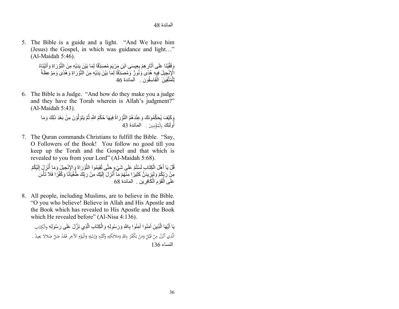5. The Bible is a guide and a light. "And We have him (Jesus) the Gospel, in which was guidance and light…" (Al-Maidah 5:46).

> وَقَّقَيْنَا عَلَى أَثَارٍ هِمْ بِعِيسَى ابْنِ مَرْيَمَ مُصَدِّقًا لِمَا بَيْنَ يَدَيْهِ مِنَ التَّوْرَاةِ وَأَتَيْنَاهُ َّ الْإِنْجِيلَ فِيِهِ هُدًى وَنُورٌ وَمُصَدِّقًا لِمَا بَيْنَ يَدَيْهِ مِنَ النَّوْرَاةِ وَهُدًى وَمَوْعِظَةً َّ ًلِلْمُتَّقِينَ الْفَاسِقُون . المائدة 46

6. The Bible is a Judge. "And how do they make you a judge and they have the Torah wherein is Allah's judgment?" (Al-Maidah 5:43).

> وَكَيْفَ يُحَكِّمُونَكَ وَعِنْدَهُمُ النَّوْرَاةُ فِيهَا حُكْمُ اللَّهِ ثُمَّ يَتَوَلَّوْنَ مِنْ بَعْدِ ذَلِكَ وَمَا أُولَٰٓئِكَ بِالْمُؤْمِنِينَ . المائدة 43 ِ

7. The Quran commands Christians to fulfill the Bible. "Say, O Followers of the Book! You follow no good till you keep up the Torah and the Gospel and that which is revealed to you from your Lord" (Al-Maidah 5:68).

قُلْ يَا أَهْلَ الْكِتَابِ لَسْتُمْ عَلَى شَيْءٍ حَتَّى تُقِيمُوا النَّوْرَاةَ وَالإِنْجِيلَ وَمَا أُنْزِلٍ إلَيْكُمْ مِنْ رَبِّكُمْ وَلَيَزِيدَنَّ كَثِيرًا مِنَّهُمْ مَّاۤ أُنْزِلَ إِلَيْكَ مِنْ رَبِّكَ طُغْيَاتًا وَكُفُرًا فَلا تَأْسَ<br>عَلَى الْقَوْمِ الْكَافِرِين . المائدة 68 قَوْمِ الْكَافِرِينِ . المائدة 68

8. All people, including Muslims, are to believe in the Bible. "O you who believe! Believe in Allah and His Apostle and the Book which has revealed to His Apostle and the Book which He revealed before" (Al-Nisa 4:136).

يَا أَيُّهَا الَّذِينَ آَمَنُوا آَمِنُوا بِاللَّهِ وَرَسُولِهِ وَالْكِتَابِ الَّذِي نَزَّلَ عَلَى رَسُولِهِ وَالْكِتَابِ ت الَّذِي أَنْزَلَ مِنْ قَبْلُ وَمَنْ يَكْفُرْ بِاللَّهِ وَمَلائِكَتِهِ وَكُتُبِهِ وَرُسُلِهِ وَالْيَوْمِ الأَخِرِ فَقَدْ ضَلَّ ضَلالا بَعِيدً . :<br>. َ  $\overline{\phantom{a}}$ ي.<br>ا َ َ ِ َ ب َ  $\overline{1}$ ْ با<br>ا ءاسنلا 136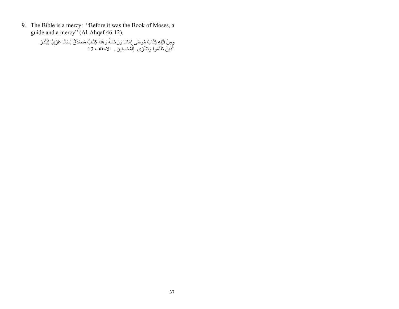9. The Bible is a mercy: "Before it was the Book of Moses, a guide and a mercy" (Al-Ahqaf 46:12).

> وَمِنْ قَبْلِهِ كِتَابُ مُوسَى إِمَامًا وَرَحْمَةً وَهَذَا كِتَابٌ مُصَدِّقٌ لِسَانًا عَرَبِيًّا لِيُنْذِرَ الَّذِينَ ظَلَمُوا وَبُشْرَى لِلْمُحْسِنِين . الاحقاف 12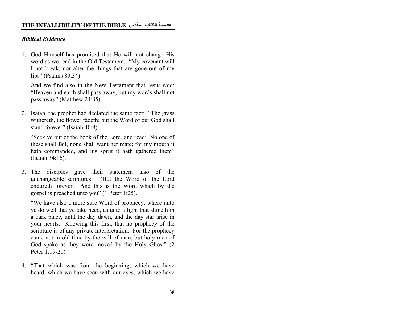## *Biblical Evidence*

1. God Himself has promised that He will not change His word as we read in the Old Testament. "My covenant will I not break, nor alter the things that are gone out of my lips" (Psalms 89:34).

And we find also in the New Testament that Jesus said: "Heaven and earth shall pass away, but my words shall not pass away" (Matthew 24:35).

2. Isaiah, the prophet had declared the same fact: "The grass withereth, the flower fadeth; but the Word of our God shall stand forever" (Isaiah 40:8).

"Seek ye out of the book of the Lord, and read: No one of these shall fail, none shall want her mate; for my mouth it hath commanded, and his spirit it hath gathered them" (Isaiah 34:16).

3. The disciples gave their statement also of the unchangeable scriptures. "But the Word of the Lord endureth forever. And this is the Word which by the gospel is preached unto you" (1 Peter 1:25).

"We have also a more sure Word of prophecy; where unto ye do well that ye take heed, as unto a light that shineth in a dark place, until the day dawn, and the day star arise in your hearts: Knowing this first, that no prophecy of the scripture is of any private interpretation. For the prophecy came not in old time by the will of man, but holy men of God spake as they were moved by the Holy Ghost" (2 Peter 1:19-21).

4. "That which was from the beginning, which we have heard, which we have seen with our eyes, which we have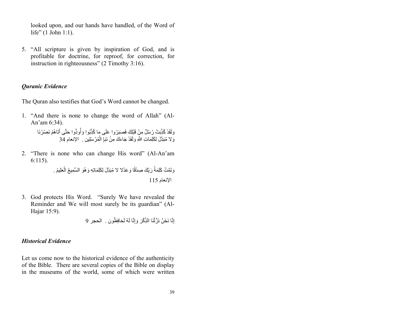looked upon, and our hands have handled, of the Word of life" (1 John 1:1).

5. "All scripture is given by inspiration of God, and is profitable for doctrine, for reproof, for correction, for instruction in righteousness" (2 Timothy 3:16).

## *Quranic Evidence*

The Quran also testifies that God's Word cannot be changed.

1. "And there is none to change the word of Allah" (Al-An'am 6:34).

> وَلَقَدْ كُذِّبَتْ رُسُلٌ مِنْ قَبْلِكَ فَصَبَرُوا عَلَى مَا كُذِّبُوا وَأُوذُوا حَتَّى أَثَاهُمْ نَصْرُنَا وَ لا مُبَدِّلَ لِكَلِمَاتِ اللَّهِ وَلَقَدْ جَاءَكَ مِنْ نَبَإِ الْمُرْسَلِين . الإنعام 34

2. "There is none who can change His word" (Al-An'am 6:115).

> وَتَمَّتْ كَلِمَةُ رَبِّكَ صِدْقًا وَ عَدْلا لا مُبَدِّلَ لِكَلِمَاتِهِ وَ هُوَ السَّمِيعُ الْعَلِيمُ . الإنعام 115

3. God protects His Word. "Surely We have revealed the Reminder and We will most surely be its guardian" (Al-Hajar 15:9).

إِنَّا نَحْنُ نَزَّلْنَا الذِّكْرَ وَإِنَّا لَهُ لَحَافِظُون . الحجر 9

## *Historical Evidence*

Let us come now to the historical evidence of the authenticity of the Bible. There are several copies of the Bible on display in the museums of the world, some of which were written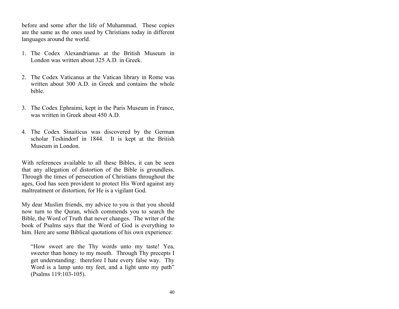before and some after the life of Muhammad. These copies are the same as the ones used by Christians today in different languages around the world.

- 1. The Codex Alexandrianus at the British Museum in London was written about 325 A.D. in Greek.
- 2. The Codex Vaticanus at the Vatican library in Rome was written about 300 A.D. in Greek and contains the whole bible.
- 3. The Codex Ephraimi, kept in the Paris Museum in France, was written in Greek about 450 A.D.
- 4. The Codex Sinaiticus was discovered by the German scholar Teshindorf in 1844. It is kept at the British Museum in London.

With references available to all these Bibles, it can be seen that any allegation of distortion of the Bible is groundless. Through the times of persecution of Christians throughout the ages, God has seen provident to protect His Word against any maltreatment or distortion, for He is a vigilant God.

My dear Muslim friends, my advice to you is that you should now turn to the Quran, which commends you to search the Bible, the Word of Truth that never changes. The writer of the book of Psalms says that the Word of God is everything to him. Here are some Biblical quotations of his own experience:

"How sweet are the Thy words unto my taste! Yea, sweeter than honey to my mouth. Through Thy precepts I get understanding: therefore I hate every false way. Thy Word is a lamp unto my feet, and a light unto my path" (Psalms 119:103-105).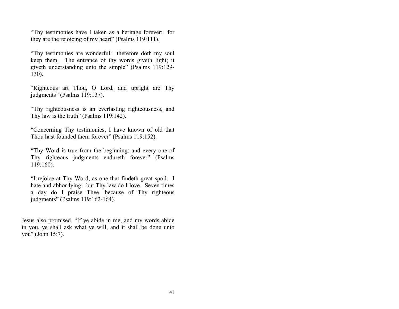"Thy testimonies have I taken as a heritage forever: for they are the rejoicing of my heart" (Psalms 119:111).

"Thy testimonies are wonderful: therefore doth my soul keep them. The entrance of thy words giveth light; it giveth understanding unto the simple" (Psalms 119:129- 130).

"Righteous art Thou, O Lord, and upright are Thy judgments" (Psalms 119:137).

"Thy righteousness is an everlasting righteousness, and Thy law is the truth" (Psalms 119:142).

"Concerning Thy testimonies, I have known of old that Thou hast founded them forever" (Psalms 119:152).

"Thy Word is true from the beginning: and every one of Thy righteous judgments endureth forever" (Psalms 119:160).

"I rejoice at Thy Word, as one that findeth great spoil. I hate and abhor lying: but Thy law do I love. Seven times a day do I praise Thee, because of Thy righteous judgments" (Psalms 119:162-164).

Jesus also promised, "If ye abide in me, and my words abide in you, ye shall ask what ye will, and it shall be done unto you" (John 15:7).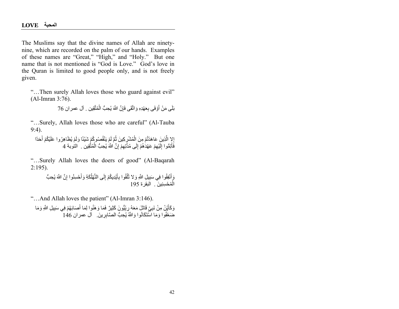The Muslims say that the divine names of Allah are ninetynine, which are recorded on the palm of our hands. Examples of these names are "Great," "High," and "Holy." But one name that is not mentioned is "God is Love." God's love in the Quran is limited to good people only, and is not freely given.

"…Then surely Allah loves those who guard against evil" (Al-Imran 3:76).

> $\overline{1}$ بَلَى مَنْ أَوْفَى بِعَهْدِهِ وَاتَّقَى فَإِنَّ اللَّهَ يُحِبُّ الْمُتَّقِين . آل عمر ان 76

"…Surely, Allah loves those who are careful" (Al-Tauba 9:4).

ُإِلاٍ الَّذِينَ عَاهَدْتُمْ مِنَ اِلْمُشْرِكِينَ ثُمَّ لَمْ يَنْقُصُوكُمْ شَيْئًا وَلَمْ يُظَاهِرُوا عَلَيْكُمْ أَحَدًا فَاَّتِمُّوا إِلَيْهِمْ عَهْدُهُمْ إِلَى مُدَّتِهِمْ إِنَّ اللَّهَ يُحِبُّ الْمُتَّقِين . النوبة 4

"…Surely Allah loves the doers of good" (Al-Baqarah 2:195).

> وَ أَنْفِقُوا فِي سَبِيلِ اللَّهِ وَ لا نُلْقُوا بِأَيْدِيكُمْ إِلَى النَّهْلُكَةِ وَأَحْسِنُوا إِنَّ اللَّهَ يُحِبُّ الْمُحْسِنِينَ . اَلْبقَرة 195

"…And Allah loves the patient" (Al-Imran 3:146).

وَكَأَيِّنْ مِنْ نَبِيِّ قَاتِلَ مَعَهُ رِبِّيُّونَ كَثِيرٌ فَمَا وَ هَنُوا لِمَا أَصَابَهُمْ فِي سَبِيلِ اللَّهِ وَمَا ֧֧֧֧֢ׅ֧֧֧֧֧֧֧֧֧֧֧֧֧֧֧֧֚֚֡֓֓֝֬֓֓֬֓֬֬֬֜**֓** ضَغُفُوا وَمَا اسْتَكَانُوا وَاللَّهُ يُحِبُّ الصَّابِرِينَ. آل عمران 146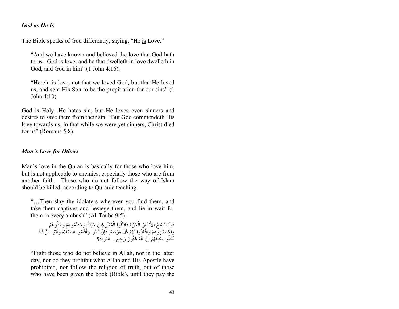#### *God as He Is*

The Bible speaks of God differently, saying, "He is Love."

"And we have known and believed the love that God hath to us. God is love; and he that dwelleth in love dwelleth in God, and God in him" (1 John 4:16).

"Herein is love, not that we loved God, but that He loved us, and sent His Son to be the propitiation for our sins" (1 John 4:10).

God is Holy; He hates sin, but He loves even sinners and desires to save them from their sin. "But God commendeth His love towards us, in that while we were yet sinners, Christ died for us" (Romans 5:8).

#### *Man's Love for Others*

Man's love in the Quran is basically for those who love him, but is not applicable to enemies, especially those who are from another faith. Those who do not follow the way of Islam should be killed, according to Quranic teaching.

"…Then slay the idolaters wherever you find them, and take them captives and besiege them, and lie in wait for them in every ambush" (Al-Tauba 9:5).

فَإِذَا انْسَلَخَ الأَشْهُرُ الْحُرُمُ فَاقْتُلُوا الْمُشْرِكِينَ حَيْثُ وَجَدْتُمُو هُمْ وَخُذُو هُمْ وَاجٍْصُدُرُوهِمْ وَاقْعُدُوا لَهُمْ كُلَّ مَرْصَدٍ فَإِنْ تَابُوا وَأَقَامُوا الصَّلاةَ وَآتَوُا الزَّكَاةَ فَخَلُّوا سَبِيلَهُمْ إِنَّ اللَّهَ غَفُورٌ رَحِيم . التوبة5

"Fight those who do not believe in Allah, nor in the latter day, nor do they prohibit what Allah and His Apostle have prohibited, nor follow the religion of truth, out of those who have been given the book (Bible), until they pay the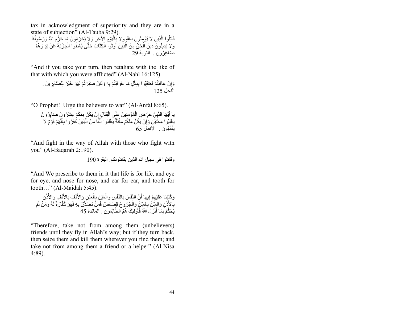tax in acknowledgment of superiority and they are in a state of subjection" (Al-Tauba 9:29).

قَاتِلُوا الَّذِينَ لا يُؤْمِنُونَ بِاللَّهِ وَلا بِإِلْيَوْمِ الأَخِرِ وَلا يُحَرِّمُونَ مَا حَرِّمَ اللَّهُ وَرَسُولُهُ وَ لا يَدِينُونَ دِينَ الْحَقِّ مِنَ الَّذِينَ أُوتُوا الْكِتَابَ حَتَّى يُعْطُوا الْجِرْيَةَ عَنْ يَدٍ وَ هُمْ َْ ْ صَاغِرُون . التوبة 29

"And if you take your turn, then retaliate with the like of that with which you were afflicted" (Al-Nahl 16:125).

وَ إِنْ عَاقَبْتُمْ فَعَاقِبُوا بِمِثْلِ مَا عُوقِبْتُمْ بِهِ وَلَئِنْ صَبَرْتُمْ لَهُوَ خَيْرٌ لِلصَّابِرِينَ . النحل 125

"O Prophet! Urge the believers to war" (Al-Anfal 8:65).

يَا أَيُّهَا النَّبِيُّ حَرِّضِ الْمُؤْمِنِينَ عَلَى الْقِتَالِ إِنْ يَكُنْ مِنْكُمْ عِشْرُونٍ صَابِرُونَ يَغْلِبُوا مِائَتَيْنِ وَإِنْ يَكُنْ مِنْكُمْ مِاْئَةٌ يَغْلِبُوا أَلْفًا مِنَ الَّذِينَ كَفَرُوا بِأَنَّهُمْ قَوْمٌ لا ََّيَفْقَهُون . الْأنفال 65

"And fight in the way of Allah with those who fight with you" (Al-Baqarah 2:190).

و قاتلو ا فی سبیل الله الذین یقاتلو نکم الیقر ۃ 190

"And We prescribe to them in it that life is for life, and eye for eye, and nose for nose, and ear for ear, and tooth for tooth…" (Al-Maidah 5:45).

وَكَتَبْنَا عَلَيْهِمْ فِيهَا أَنَّ النَّفْسَ بِالنَّفْسِ وَالْعَيْنَ بِالْعَيْنِ وَالأَنْفَ بِالأَنْفِ وَالأُذُنَ بِالأُذُنِ وَالسِّنَّ بِالسِّنِّ وَالْجُرُوحَ قِصَاصٌ فَمَنُّ نَصَدَّقَ بِهِ فَهُوَ كَفَّارَةٌ لَهُ وَمَنْ لَمْ يَحْكُمْ بِمَا أَنْزَلَ اللَّهُ فَأُولَّئِكَ هُمُ الظَّالِمُونَ . المائدة 45

"Therefore, take not from among them (unbelievers) friends until they fly in Allah's way; but if they turn back, then seize them and kill them wherever you find them; and take not from among them a friend or a helper" (Al-Nisa 4:89).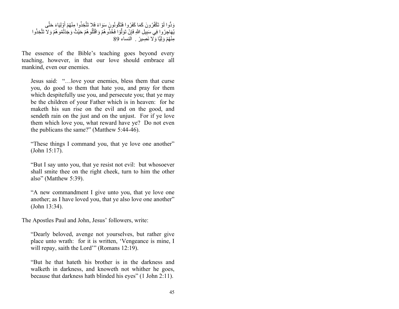#### وَدُّوا لَوْ تَكْفُرُونَ كَمَا كَفَرُوا فَتَكُونُونَ سَوَاءً فَلا تَتَّخِذُوا مِنْهُمْ أَوْلِيَاءَ حَتَّى ا<br>ا يُهَاجِرُ وا فِي سَبِيلِ اللَّهِ فَإِنْ تَوَلَّوْا فَخُذُو هُمْ وَاقْتُلُو هُمْ حَيْثُ وَجَدُتُمُو هُمْ وَ لا تَتَّخِذُوا مِنْهُمْ وَلِيًّا وَلا نَصِيرً . النساء 89

The essence of the Bible's teaching goes beyond every teaching, however, in that our love should embrace all mankind, even our enemies.

Jesus said: "…love your enemies, bless them that curse you, do good to them that hate you, and pray for them which despitefully use you, and persecute you; that ye may be the children of your Father which is in heaven: for he maketh his sun rise on the evil and on the good, and sendeth rain on the just and on the unjust. For if ye love them which love you, what reward have ye? Do not even the publicans the same?" (Matthew 5:44-46).

"These things I command you, that ye love one another" (John 15:17).

"But I say unto you, that ye resist not evil: but whosoever shall smite thee on the right cheek, turn to him the other also" (Matthew 5:39).

"A new commandment I give unto you, that ye love one another; as I have loved you, that ye also love one another" (John 13:34).

The Apostles Paul and John, Jesus' followers, write:

"Dearly beloved, avenge not yourselves, but rather give place unto wrath: for it is written, 'Vengeance is mine, I will repay, saith the Lord'" (Romans 12:19).

"But he that hateth his brother is in the darkness and walketh in darkness, and knoweth not whither he goes, because that darkness hath blinded his eyes" (1 John 2:11).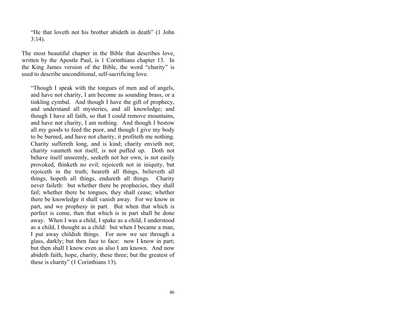"He that loveth not his brother abideth in death" (1 John 3:14).

The most beautiful chapter in the Bible that describes love, written by the Apostle Paul, is 1 Corinthians chapter 13. In the King James version of the Bible, the word "charity" is used to describe unconditional, self-sacrificing love.

"Though I speak with the tongues of men and of angels, and have not charity, I am become as sounding brass, or a tinkling cymbal. And though I have the gift of prophecy, and understand all mysteries, and all knowledge; and though I have all faith, so that I could remove mountains, and have not charity, I am nothing. And though I bestow all my goods to feed the poor, and though I give my body to be burned, and have not charity, it profiteth me nothing. Charity suffereth long, and is kind; charity envieth not; charity vaunteth not itself, is not puffed up. Doth not behave itself unseemly, seeketh not her own, is not easily provoked, thinketh no evil; rejoiceth not in iniquity, but rejoiceth in the truth; beareth all things, believeth all things, hopeth all things, endureth all things. Charity never faileth: but whether there be prophecies, they shall fail; whether there be tongues, they shall cease; whether there be knowledge it shall vanish away. For we know in part, and we prophesy in part. But when that which is perfect is come, then that which is in part shall be done away. When I was a child, I spake as a child, I understood as a child, I thought as a child: but when I became a man, I put away childish things. For now we see through a glass, darkly; but then face to face: now I know in part; but then shall I know even as also I am known. And now abideth faith, hope, charity, these three; but the greatest of these is charity" (1 Corinthians 13).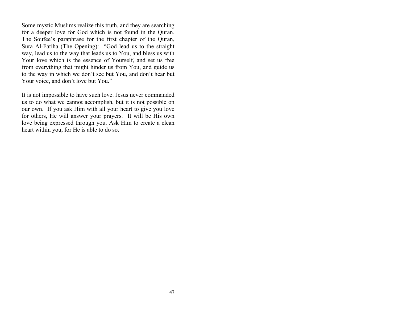Some mystic Muslims realize this truth, and they are searching for a deeper love for God which is not found in the Quran. The Soufee's paraphrase for the first chapter of the Quran, Sura Al-Fatiha (The Opening): "God lead us to the straight way, lead us to the way that leads us to You, and bless us with Your love which is the essence of Yourself, and set us free from everything that might hinder us from You, and guide us to the way in which we don't see but You, and don't hear but Your voice, and don't love but You."

It is not impossible to have such love. Jesus never commanded us to do what we cannot accomplish, but it is not possible on our own. If you ask Him with all your heart to give you love for others, He will answer your prayers. It will be His own love being expressed through you. Ask Him to create a clean heart within you, for He is able to do so.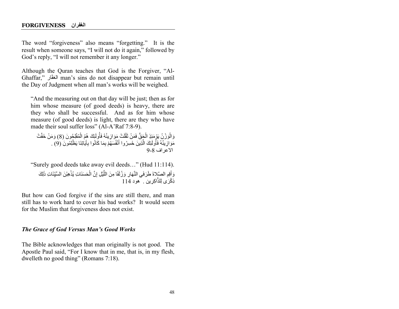The word "forgiveness" also means "forgetting." It is the result when someone says, "I will not do it again," followed by God's reply, "I will not remember it any longer."

Although the Quran teaches that God is the Forgiver, "Al-Ghaffar," الغفّار man's sins do not disappear but remain until the Day of Judgment when all man's works will be weighed.

"And the measuring out on that day will be just; then as for him whose measure (of good deeds) is heavy, there are they who shall be successful. And as for him whose measure (of good deeds) is light, there are they who have made their soul suffer loss" (Al-A'Raf 7:8-9).

وَالْوَزْنُ يَوْمَئِذٍ الْجَقُّ فَمَنْ ثَقُلَتْ مَوَازِينُهُ فَأُولَئِكَ هُمُ الْمُفْلِجُونَ (8) وَمَنْ خَفَّتْ ُل ا<br>ا مَوَازِيَنَّهُ فَأُولَئِكَ الَّذِينَ خَسِرُوا أَنْفُسَهُمْ بِمَا كَانُوا بِآَيَاتِنَا يَظْلِمُونَ ُ(9) . ُالإعراف 8-9

"Surely good deeds take away evil deeds…" (Hud 11:114). وَ أَقِمِ الصَّلاةَ طَرَفَي النَّهَارِ وَزُلَفًا مِنَ اللَّيْلِ إِنَّ الْحَسَنَاتِ يُذْهِبْنَ السَّيِّئَاتِ ذَلِكَ ِذِكْرَ ِي لِلذَّاكرِ بِن ِ ِ ۖ هُو دِ 114

But how can God forgive if the sins are still there, and man still has to work hard to cover his bad works? It would seem for the Muslim that forgiveness does not exist.

#### *The Grace of God Versus Man's Good Works*

The Bible acknowledges that man originally is not good. The Apostle Paul said, "For I know that in me, that is, in my flesh, dwelleth no good thing" (Romans 7:18).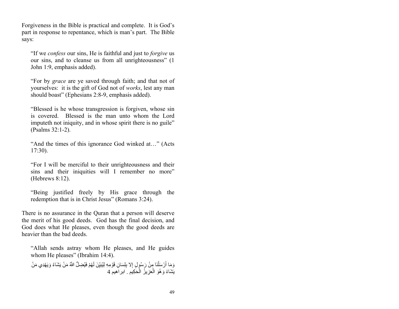Forgiveness in the Bible is practical and complete. It is God's part in response to repentance, which is man's part. The Bible says:

"If we *confess* our sins, He is faithful and just to *forgive* us our sins, and to cleanse us from all unrighteousness" (1 John 1:9, emphasis added).

"For by *grace* are ye saved through faith; and that not of yourselves: it is the gift of God not of *works*, lest any man should boast" (Ephesians 2:8-9, emphasis added).

"Blessed is he whose transgression is forgiven, whose sin is covered. Blessed is the man unto whom the Lord imputeth not iniquity, and in whose spirit there is no guile" (Psalms 32:1-2).

"And the times of this ignorance God winked at…" (Acts 17:30).

"For I will be merciful to their unrighteousness and their sins and their iniquities will I remember no more" (Hebrews 8:12).

"Being justified freely by His grace through the redemption that is in Christ Jesus" (Romans 3:24).

There is no assurance in the Quran that a person will deserve the merit of his good deeds. God has the final decision, and God does what He pleases, even though the good deeds are heavier than the bad deeds.

"Allah sends astray whom He pleases, and He guides whom He pleases" (Ibrahim 14:4).

وَمَا أَرْسَلْنَا مِنْ رَسُولٍ إِلا بِلِسَانِ قَوْمِهِ لِيُبَيِّنَ لَهُمْ فَيُضِلُّ اللَّهُ مَنْ يَشَاءُ وَيَهْدِي مَنْ ا<br>ا يَشَاءُ وَهُوَ الْعَزِيزُ الْحَكِيمِ ـ ابر اَهيم 4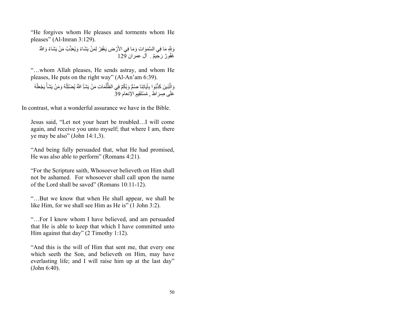"He forgives whom He pleases and torments whom He pleases" (Al-Imran 3:129).

وَبِلَّهِ مَا فِي الْسَّمَوَاتِ وَمَا فِي الأَرْضِ يَغْفِرُ لِمَنْ يَشَاءُ وَيُعَذِّبُ مَنْ يَشَاءُ وَاللَّهُ غَفُورٌ رَحِيمٌ . آل عمر ان 129

"…whom Allah pleases, He sends astray, and whom He pleases, He puts on the right way" (Al-An'am 6:39).

وَالِّذِينَ كَذَّبُوا بِآَيَاتِنَا صُمٍّ وَبُكُمٍّ فِي الظُّلُمَاتِ مَنْ يَشَـٰأِ اللَّهُ يُضْلِلْهُ وَمَنْ يَشَأْ يَجْعَلْهُ عَلَى صرَ اط . مُسْتَقِيم الْإِنعام 39 َ

In contrast, what a wonderful assurance we have in the Bible.

Jesus said, "Let not your heart be troubled…I will come again, and receive you unto myself; that where I am, there ye may be also" (John 14:1,3).

"And being fully persuaded that, what He had promised, He was also able to perform" (Romans 4:21).

"For the Scripture saith, Whosoever believeth on Him shall not be ashamed. For whosoever shall call upon the name of the Lord shall be saved" (Romans 10:11-12).

"…But we know that when He shall appear, we shall be like Him, for we shall see Him as He is" (1 John 3:2).

"…For I know whom I have believed, and am persuaded that He is able to keep that which I have committed unto Him against that day" (2 Timothy 1:12).

"And this is the will of Him that sent me, that every one which seeth the Son, and believeth on Him, may have everlasting life; and I will raise him up at the last day" (John 6:40).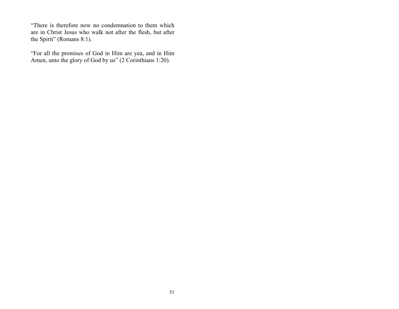"There is therefore now no condemnation to them which are in Christ Jesus who walk not after the flesh, but after the Spirit" (Romans 8:1).

"For all the promises of God in Him are yea, and in Him Amen, unto the glory of God by us" (2 Corinthians 1:20).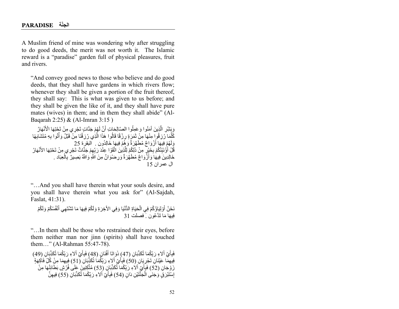A Muslim friend of mine was wondering why after struggling to do good deeds, the merit was not worth it. The Islamic reward is a "paradise" garden full of physical pleasures, fruit and rivers.

"And convey good news to those who believe and do good deeds, that they shall have gardens in which rivers flow; whenever they shall be given a portion of the fruit thereof, they shall say: This is what was given to us before; and they shall be given the like of it, and they shall have pure mates (wives) in them; and in them they shall abide" (Al-Baqarah 2:25) & (Al-Imran 3:15 )

وَيِشْرِ الَّذِينَ آمَنُوا وَعَمِلُوا الصَّالِحَاتِ أَنَّ لَهُمْ جَنَّاتٍ تَجْرِي مِنْ تَجْنِهَا الْأَنْهَارُ كُلَّمَا رُزِ قُورٍ مِنْهَا مِنْ ثَمَرَ ةٍ رِزْقًا قَالُوا هَذَا الَّذِي رُزِقَنَا مِنْ قَبْلُ وَأُتُوا بِهِ مُتَشَابِهَا وَ لَهُمْ فِيهَا أَرْ وَ اجٌ مُطَهَّرَ ةٌ وَ هُمْ فِيهَا خَالدُو نِ . ۚ اَلْيَقِرْ ۃ 25 قُلْ أَوُْنَبِّئُكُمْ بِخَيْرٍ مِنْ ذَلِكُمْ لِلَّذِينَ اتَّقَوْا عِنْدَ رَبِّهِمْ جَنَّاتٌ تَجْرِي مِنْ تَحْنِهَا الأَنْهَارُ خَالِدِينَ فِيهَا وَأَزُّوَاجٌ مُطَهَّرَةٌ وَرِضْوَانٌ مِنَ اللَّهِ وَاللَّهُ بَصِيرٌ بِٱلْعِبَاد . ال عمر ان 15

"…And you shall have therein what your souls desire, and you shall have therein what you ask for" (Al-Sajdah, Faslat, 41:31).

نَحْنُ أَوْلِيَاؤُكُمْ فِي الْحَيَاةِ الدُّنْيَا وَفِي الآَخِرَةِ وَلَكُمْ فِيهَا مَا تَشْتَهِي أَنْفُسُكُمْ وَلَكُمْ فِيهَا مَا تَدَّعُون ِ فصلت 31

"…In them shall be those who restrained their eyes, before them neither man nor jinn (spirits) shall have touched them…" (Al-Rahman 55:47-78).

فَبِأَيِّ أَلاءِ رَبِّكُمَا تُكَذِّبَانِ (47) ذَوَاتَا أَفْنَانٍ (48) فَبِأَيِّ أَلاءِ رَبِّكُمَا تُكَذِّبَانِ (49) ِفِيهِمَّا عَيْنَانِ َتَجْرِيَانِ (50) فَبِأَيِّ أَلاءِ رَبِّكُمَا تُكَذِّبَانِ (51) فِيهِمَا مِنْ كُلِّ فَاكِهَةٍ زَوْجَانِ (52) فَبِأَيِّ اَلاَءِ رَبِّكُمَا ثُكَذِّبَانٍ (53) مُتَّكِئِينَ عَلَى فُرُشٍ بَطَائِئُهَا مِنْ ا<br>ا إِسْتَبْرَ فٍَ وَجَنَى الَّجَنَّتَيْنِ دَانٍ (54) فَبِأَيِّ آلاءِ رَبِّكُمَا تُكَذِّبَانِ (55) فِيهِنَّ َّ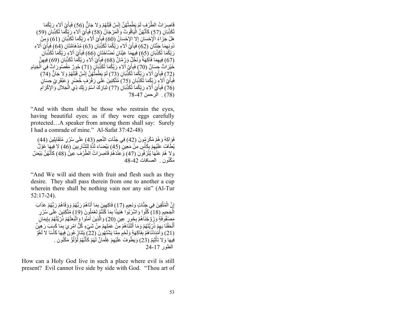قَاصِرَ اتُ الطَّرْفِ لَمْ يَطْمِثْهُنَّ إِنْسٌ قَبْلَهُمْ وَ لا جَانٍّ (56) فَبِأَيِّ ٱلاعِ رَبِّكُمَا<br>\* تُكَذِّبَانِ (57) كَأَنَّهُنَّ الْيَاقُوتُ وَالْمَرْجَانُ (58) فَبِأَيِّ إِلاْءِ رَبِّكُمَا تُكَذِّبَانِ (59) َّهَلْ جَزَاءُ الْإِحْسَانِ إِلا الإِحْسَانُ (60) فَبِأَيِّ أَلاءِ رَبِّكُمَا تُكَذِّبَانِ (61) وَمِنْ دُونِهِمَا جَنَّتَانِ (62) فَبِأَيَّ آلاءِ رَبِّكُمَا تُكَذِّبَانِ (63) مُدْهَامَّتَانِ (64) فَبِأَيِّ آلاءِ رَبِّكُمَا تُكَذِّبَانِ (65) فِيهِمِّا عَيْنَانِ نَصْنَاخَتَانٍ (66) فَبِأَيِّ آلاءِ رَبِّكُمَا تُكَذِّبَانِ رَبِّكُمَا تُكَذِّبَا*نِ (*65) فِيهِمَا عَيْذَانِ نَصَّاخَتَانِ (66) فَبِأَيِّ أَلاءِ رَبِّكُمَا تُكَذِّبَانِ<br>(67) فِيهِمَا فَاكِهَةٌ وَنَخْلٌٍ وَرُمَّانٌ (68) فَبِأَيِّ أَلاءِ رَبِّكُمَا تُكَذِّبَانِ (69) فِيهِنَّ َّخَيْرَ اٰتٌ جِسَانٌ (70) فَبِأَيِّ الاءِ رَبِّكُمَا ِتُكَذِّبَانَ (71) حُورٌ مَقْصُورَ ابِثٌ فِيَ الْخِيَامِ (72) فَبِأَيِّ أَلاءِ رَ بِّكُمَا تُكَّذِّبَانِ (73) لَمْ يَطْمِثُّهُنَّ إِنْسٌ قَبْلَهُمْ وَلا جَانٌّ (74) َفَبِأَيِّ اَلاِءٍ رَّ بِّكُمَا تُكَذِّبَانٍ (75) مُتَّكِئِينَ عَلَى رَفْرَ فِ خُضْرٍ ۚ وَعَبْقَرِ يِّ حِسَانٍ (76) فَبِأَيِّ أَلاءِ رَبِّكُمَا تُكَٰذِّبَانِ (77) تَبَارَكَ اسْمُ رَبِّكَ ذِي الْجَلالِ وَالإِكْرَامِ (78) . الرحمن 47-78

"And with them shall be those who restrain the eyes, having beautiful eyes; as if they were eggs carefully protected…A speaker from among them shall say: Surely I had a comrade of mine." Al-Safat 37:42-48)

فَوَاكِهُ وَهُمْ مُكْرَمُونَ (42) فِي جَنَّاتِ النَّعِيمِ (43) عَلَى سُرُرٍ مُتَقَابِلِينَ (44) يُطَافُ عَلَيْهِمْ بِكَأْسٍ مِنْ مَعِينٍ (45) بَيْضَاءَ لَذَّةٍ لِلْشَّارِبِينَ (46) لا َفِيهَا عَوْلُ وَلاٍ هُمْ عَنْهَا يُذْرَفُونَ (47) وَعِنْدَهُمْ قَاصِرَاتُ الطَّرْفِ عِينٌ (48) كَأَنَّهُنَّ بَيْضٌ َّمَكْنُون . الصافات 42-48

"And We will aid them with fruit and flesh such as they desire. They shall pass therein from one to another a cup wherein there shall be nothing vain nor any sin" (Al-Tur 52:17-24).

إِنَّ الْمُتَّقِينَ فِي جَنَّاتٍ وَنَعِيمٍ (17) فَاكِهِينَ بِمَا أَتَاهُمْ رَبُّهُمْ وَوَقَاهُمْ رَبُّهُمْ عَذَابَ اَلْجَحِيمِ (18) كُلُوا وَاشْرَبُوَّا هَنِيئًا بِمَا كُنْتُمْ تَعْمَلُونَ (19) مُتَّكِئِينَ عَلَى سُرُرٍ ِمَصِّفُو فَةٍ ۖ وَزَوَّجْنَاهُمْ بِحُورٍ عِينٍ (20) وَالَّذِينَ آَمَنُوا وَإِنَّبَعَتْهُمْ ذُرِّيَّتُهُمْ بِإِيمَانٍ ُأَلْحَقْنَا بِهِمْ ذُرِّ يَّتَهُمْ وَمَا أَلَتْنَاهُمْ مِنْ عَمَلِهِمْ مِنْ شَيْءٍ كُلُّ امْرِ عِ ْبِمَا كَسَبَ رَهِينٌ َ ََ (21) وَأَمْدَدْنَاهُمْ لِفَاّكِهَةٍ وَلَحْمٍ مِمَّا يَشْنَهُونَ ۚ (22) يَتَنَازَ عُونَ ۚ فِيهَا كَأْسًا لا لَغُو فِيهَا وَلاَّ تَأْثِيمٌ (23) وَيَطُومْتُ عَلَيْهِمْ غِلْمَانٌ لَهُمْ كَأَنَّهُمْ لَٰؤُلُوٌّ مَكْنُون . َّالطور 17-24

How can a Holy God live in such a place where evil is still present? Evil cannot live side by side with God. "Thou art of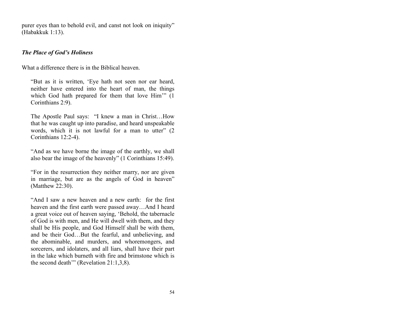purer eyes than to behold evil, and canst not look on iniquity" (Habakkuk 1:13).

#### *The Place of God's Holiness*

What a difference there is in the Biblical heaven.

"But as it is written, 'Eye hath not seen nor ear heard, neither have entered into the heart of man, the things which God hath prepared for them that love Him" (1) Corinthians 2:9).

The Apostle Paul says: "I knew a man in Christ…How that he was caught up into paradise, and heard unspeakable words, which it is not lawful for a man to utter" (2 Corinthians 12:2-4).

"And as we have borne the image of the earthly, we shall also bear the image of the heavenly" (1 Corinthians 15:49).

"For in the resurrection they neither marry, nor are given in marriage, but are as the angels of God in heaven" (Matthew 22:30).

"And I saw a new heaven and a new earth: for the first heaven and the first earth were passed away…And I heard a great voice out of heaven saying, 'Behold, the tabernacle of God is with men, and He will dwell with them, and they shall be His people, and God Himself shall be with them, and be their God…But the fearful, and unbelieving, and the abominable, and murders, and whoremongers, and sorcerers, and idolaters, and all liars, shall have their part in the lake which burneth with fire and brimstone which is the second death'" (Revelation 21:1,3,8).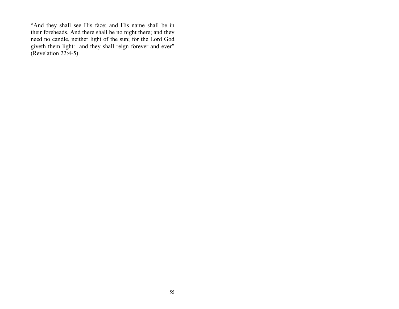"And they shall see His face; and His name shall be in their foreheads. And there shall be no night there; and they need no candle, neither light of the sun; for the Lord God giveth them light: and they shall reign forever and ever" (Revelation 22:4-5).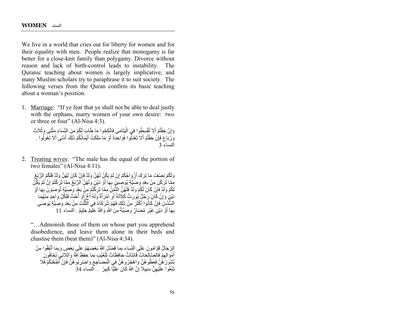We live in a world that cries out for liberty for women and for their equality with men. People realize that monogamy is far better for a close-knit family than polygamy. Divorce without reason and lack of birth-control leads to instability. The Quranic teaching about women is largely implicative, and many Muslim scholars try to paraphrase it to suit society. The following verses from the Quran confirm its basic teaching about a woman's position.

1. Marriage: "If ye fear that ye shall not be able to deal justly with the orphans, marry women of your own desire: two or three or four" (Al-Nisa 4:3).

وَإِنْ خِفْتُمْ أَلا تُقْسِطُوا فِي الْبَتَامَى فَانْكِحُوا مَا طَابَ لَكُمْ مِنَ النِّسَاءِ مَثْنَى وَثُلاثَ وَرُبَاعَ فَإِنْ خِفْتُمْ أَلا تَعْدِلُوا فَوَاحِدَةً أَوْ مَا مَلَكَتْ أَيْمَاتُكُمْ ذَلِكَ أَدْنَى أَلا تَعُولُوا . النساء 3

2. Treating wives: "The male has the equal of the portion of two females" (Al-Nisa 4:11).

وَلَكُمْ نِصِنْفُ مَا تَرَكَ أَزْ وَاجُكُمْ إِنْ لَمْ يَكُنْ لَهُنَّ وَلَدٌ فَإِنْ كَانَ لَهُنَّ وَلَدٌ فَلَكُمُ الرُّبُعُ مِمَّا تُرَكْنَ مِنْ بَعْدٍ وَصِيَّةٍ يُوصِينَ بِهَا أَوْ دَيْنٍ وَلَهُنَّ الرُّبُعُ مِمَّا تَرَكْتُمْ إِنْ لَمْ يَكِّنْ لَكُمْ وَلَدٌ فَإِنْ كَانَ لَكُمْ وَلَدٌ فَلَهُنَّ الثَّمُنُ مِمَّا تَرَكَّتُمْ مِنْ بَعْدٍ وَّصِيَّةٍ تُوصُونَ بِهَا أَوْ ا<br>ا دَیْنٍٰ وَائِنْ کَانَ رَجُلٌ یُورَثُ کَلاَلَةً أَو اَمْرَأَةٌ وَلَهُ أُخٌ إَوْ أُخْتٌ فَلِكُلِّ وَاحِدٍ مِّنْهُمَا السُّدُسُ فَإِنْ كَانُوا أَكْثَرَ مِنْ ذَلِكَ فَهُمْ شُرَكَاءُ فِي النَّلُّثِ مِنْ بَعْدِ وَصِيَّةٍ يُوصَـَ ُّالسُّدُسُ فَإِنْ كَانُوا اَكْثَرَ مِنْ ذَلِكَ فَهُمْ شُرَكَاءُ فِي الثَّلَثِ مِنْ بَعْدِ وَصِيَّةٍ يُوصَـَى<br>بِهَا أَوْ دَيْنٍ غَيْرَ مُضَارٍّ وَصِيَّةً مِنَ اللَّهِ وَاللَّهُ عَلِيمٌ خَلِيمٌ . النساء 11

"…Admonish those of them on whose part you apprehend disobedience, and leave them alone in their beds and chastise them (beat them)" (Al-Nisa 4:34).

الِرِّجَالُ قَوَّ امُونَ عَلَى النِّسَاءِ بِمَا فَضَّلَ اللَّهُ بَعْضَهُمْ عَلَى بَعْضٍ وَبِمَا أَنْفَقُوا مِنْ أَهْوَ الِهِمْ فَالصَّالِحَاتُ قَانِتَاتٌ حَافِظَاتٌ لِلْغَيْبِ بِمَا حَفِظَ اللَّهُ وَاللَّاتِيِ تَخَافُونَ نُشُورَ هُنَّ فَعِظُو هُنَّ وَاهْجُرُو هُنَّ فِي الْمَضْاجِعِ وَاضْرِبُو هُنَّ فَإِنْ أَطَعْنَكُمْ فَلا<br>مَمُّد رِّدَةٍ نَبْغُوا عَلَيْهِنَّ سَبِيلا إِنَّ اللَّهَ كَانَ عَلِيًّا كَبِيرً . اَلنساء 34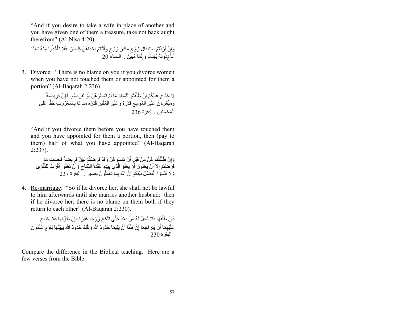"And if you desire to take a wife in place of another and you have given one of them a treasure, take not back aught therefrom" (Al-Nisa 4:20).

وَإِنْ أَرَدْتُمُ اسْتِبْدَالَ زَوْجٍ مَكَانَ زَوْجٍ وَآتَيْتُمْ إِحْدَاهُنَّ قِنْطَارًا فَلا تَأْخُذُوا مِنْهُ شَيْئًا أَتَأْخُذُونَهُ بُهْتَانًا وَإِثْمًا مُبِّينً ۚ فَ النساء 20  $20$ 

3. Divorce: "There is no blame on you if you divorce women when you have not touched them or appointed for them a portion" (Al-Baqarah 2:236).

> ً **ا** لا جُنَاحَ عَلَيْكُمْ إِنْ طَلَّقْتُمُ النِّسَاءَ مَا لَمْ تَمَسُّوهُنَّ أَوْ تَقْرِضُوا لَهُنَّ فَرِيضِهَةً َؘ<br>ا َ֧֖֖֖֖֖֖֖֧֖ׅ֖֧֖֧֪ׅ֧֧֧֧֧֧֧֧֚֚֚֚֚֚֚֚֚֚֚֚֚֚֚֚֡֬֓֓֝֬֝֓֝֬֝֓֞֬֝֓֓֝֬֓֓֝֬֝֬֝֬֝֬֝֬֝֬֝֬֝֬֝֬֝֬֝֬ ُمَنِّعُوهُرَّنَّ عَلَىٰ الْمُوسِعِ قَدَرُهُ وَعَلَى الْمُقْتِرِ قَدَرُهُ مَنَاعًا بِالْمَعْرُوفِ حَقًّا عَلَى<br>\* الْمُحْسِنِينَ . البقرة 236

"And if you divorce them before you have touched them and you have appointed for them a portion, then (pay to them) half of what you have appointed" (Al-Baqarah 2:237).

وَ إِنْ طَلِّقْتُمُو هُنَّ مِنْ قَبْلٍ أَنْ نَمَسُّو هُنَّ وَقَدْ فَرَصْنْتُمْ لَهُنَّ فَرِيضَةً فَنصْنفُ مَا ُفَرَضْتُمْ إِلا أَنْ يَعْفُونَ أَوْ يَعْفُوَ الَّذِي بِيَدِهِ عُقْدَةُ النِّكَاحِ وَأَنْ تَعْفُوا أَقْرَبُ لِلتَّقْوَى<br>وَلا تَنْسَوُا الْفَضْلُ بَيْنَكُمْ إِنَّ اللَّهَ بِمَا تَعْمَلُونَ بَصِيرِ ۚ البقرة 237 فَضْلَ بَيْنَكُمْ إِنَّ اللَّهَ بِمَا تَعْمَلُونَ بَصِيرٍ ۚ الْبقرة 237

4. Re-marriage: "So if he divorce her, she shall not be lawful to him afterwards until she marries another husband: then if he divorce her, there is no blame on them both if they return to each other" (Al-Baqarah 2:230).

فَإِنْ طَلَّقَهَا فَلَا تَحِلُّ لَهُ مِنْ بَعْدُ حَتَّى تَنْكِحَ زَوْجًا غَيْرَهُ فَإِنْ طَلَّقَهَا فَلا جُنَاحَ عَلَيْهِمَا أَنْ يَتَرَ اجَعَا إِنْ ظَنَّا أَنْ يُقِيمَا حُدُودَ اللَّهِ وَتِلْكَ حُدُودُ اللَّهِ يُبَيِّنُهَا لِقَوْمٍ عُلَمُون البقرة 230

Compare the difference in the Biblical teaching. Here are a few verses from the Bible.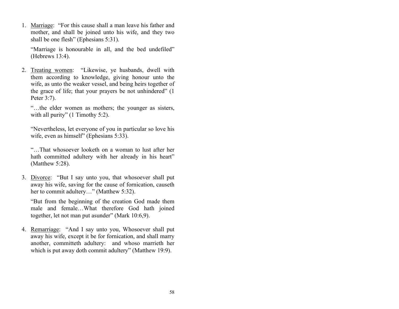1. Marriage: "For this cause shall a man leave his father and mother, and shall be joined unto his wife, and they two shall be one flesh" (Ephesians 5:31).

"Marriage is honourable in all, and the bed undefiled" (Hebrews 13:4).

2. Treating women: "Likewise, ye husbands, dwell with them according to knowledge, giving honour unto the wife, as unto the weaker vessel, and being heirs together of the grace of life; that your prayers be not unhindered" (1 Peter 3:7).

"…the elder women as mothers; the younger as sisters, with all purity" (1 Timothy 5:2).

"Nevertheless, let everyone of you in particular so love his wife, even as himself" (Ephesians 5:33).

"…That whosoever looketh on a woman to lust after her hath committed adultery with her already in his heart" (Matthew 5:28).

3. Divorce: "But I say unto you, that whosoever shall put away his wife, saving for the cause of fornication, causeth her to commit adultery…" (Matthew 5:32).

"But from the beginning of the creation God made them male and female…What therefore God hath joined together, let not man put asunder" (Mark 10:6,9).

4. Remarriage: "And I say unto you, Whosoever shall put away his wife, except it be for fornication, and shall marry another, committeth adultery: and whoso marrieth her which is put away doth commit adultery" (Matthew 19:9).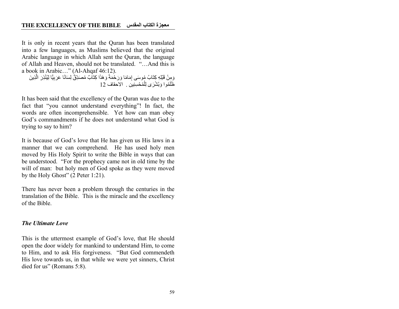It is only in recent years that the Quran has been translated into a few languages, as Muslims believed that the original Arabic language in which Allah sent the Quran, the language of Allah and Heaven, should not be translated. "…And this is a book in Arabic…" (Al-Ahqaf 46:12).

وَمِنْ قَبْلِهِ كِتَابُ مُوسَى إِمَامًا وَرَحْمَةً وَهَذَا كِتَابٌ مُصَدِّقٌّ لِسَانًا عَرَبِيًّا لِيُنْذِرَ الَّذِينَ ظَلَمُوا وَبُشْرَى لِلْمُحْسِنِينَ . الاحقاف 12

It has been said that the excellency of the Quran was due to the fact that "you cannot understand everything"! In fact, the words are often incomprehensible. Yet how can man obey God's commandments if he does not understand what God is trying to say to him?

It is because of God's love that He has given us His laws in a manner that we can comprehend. He has used holy men moved by His Holy Spirit to write the Bible in ways that can be understood. "For the prophecy came not in old time by the will of man: but holy men of God spoke as they were moved by the Holy Ghost" (2 Peter 1:21).

There has never been a problem through the centuries in the translation of the Bible. This is the miracle and the excellency of the Bible.

#### *The Ultimate Love*

This is the uttermost example of God's love, that He should open the door widely for mankind to understand Him, to come to Him, and to ask His forgiveness. "But God commendeth His love towards us, in that while we were yet sinners, Christ died for us" (Romans 5:8).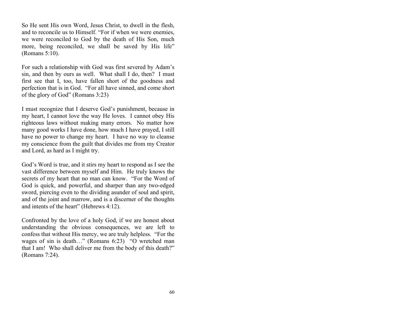So He sent His own Word, Jesus Christ, to dwell in the flesh, and to reconcile us to Himself. "For if when we were enemies, we were reconciled to God by the death of His Son, much more, being reconciled, we shall be saved by His life" (Romans 5:10).

For such a relationship with God was first severed by Adam's sin, and then by ours as well. What shall I do, then? I must first see that I, too, have fallen short of the goodness and perfection that is in God. "For all have sinned, and come short of the glory of God" (Romans 3:23)

I must recognize that I deserve God's punishment, because in my heart, I cannot love the way He loves. I cannot obey His righteous laws without making many errors. No matter how many good works I have done, how much I have prayed, I still have no power to change my heart. I have no way to cleanse my conscience from the guilt that divides me from my Creator and Lord, as hard as I might try.

God's Word is true, and it stirs my heart to respond as I see the vast difference between myself and Him. He truly knows the secrets of my heart that no man can know. "For the Word of God is quick, and powerful, and sharper than any two-edged sword, piercing even to the dividing asunder of soul and spirit, and of the joint and marrow, and is a discerner of the thoughts and intents of the heart" (Hebrews 4:12).

Confronted by the love of a holy God, if we are honest about understanding the obvious consequences, we are left to confess that without His mercy, we are truly helpless. "For the wages of sin is death…" (Romans 6:23) "O wretched man that I am! Who shall deliver me from the body of this death?" (Romans 7:24).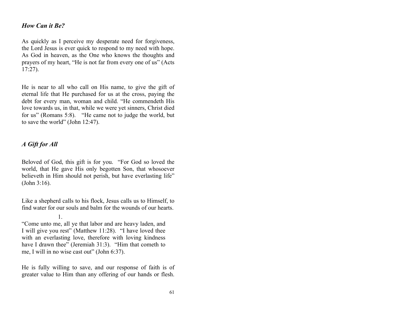## *How Can it Be?*

As quickly as I perceive my desperate need for forgiveness, the Lord Jesus is ever quick to respond to my need with hope. As God in heaven, as the One who knows the thoughts and prayers of my heart, "He is not far from every one of us" (Acts 17:27).

He is near to all who call on His name, to give the gift of eternal life that He purchased for us at the cross, paying the debt for every man, woman and child. "He commendeth His love towards us, in that, while we were yet sinners, Christ died for us" (Romans 5:8). "He came not to judge the world, but to save the world" (John 12:47).

## *A Gift for All*

1.

Beloved of God, this gift is for you. "For God so loved the world, that He gave His only begotten Son, that whosoever believeth in Him should not perish, but have everlasting life" (John 3:16).

Like a shepherd calls to his flock, Jesus calls us to Himself, to find water for our souls and balm for the wounds of our hearts.

He is fully willing to save, and our response of faith is of greater value to Him than any offering of our hands or flesh.

<sup>&</sup>quot;Come unto me, all ye that labor and are heavy laden, and I will give you rest" (Matthew 11:28). "I have loved thee with an everlasting love, therefore with loving kindness have I drawn thee" (Jeremiah 31:3). "Him that cometh to me, I will in no wise cast out" (John 6:37).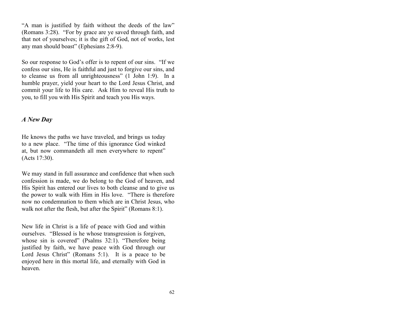"A man is justified by faith without the deeds of the law" (Romans 3:28). "For by grace are ye saved through faith, and that not of yourselves; it is the gift of God, not of works, lest any man should boast" (Ephesians 2:8-9).

So our response to God's offer is to repent of our sins. "If we confess our sins, He is faithful and just to forgive our sins, and to cleanse us from all unrighteousness" (1 John 1:9). In a humble prayer, yield your heart to the Lord Jesus Christ, and commit your life to His care. Ask Him to reveal His truth to you, to fill you with His Spirit and teach you His ways.

## *A New Day*

He knows the paths we have traveled, and brings us today to a new place. "The time of this ignorance God winked at, but now commandeth all men everywhere to repent" (Acts 17:30).

We may stand in full assurance and confidence that when such confession is made, we do belong to the God of heaven, and His Spirit has entered our lives to both cleanse and to give us the power to walk with Him in His love. "There is therefore now no condemnation to them which are in Christ Jesus, who walk not after the flesh, but after the Spirit" (Romans 8:1).

New life in Christ is a life of peace with God and within ourselves. "Blessed is he whose transgression is forgiven, whose sin is covered" (Psalms 32:1). "Therefore being justified by faith, we have peace with God through our Lord Jesus Christ" (Romans 5:1). It is a peace to be enjoyed here in this mortal life, and eternally with God in heaven.